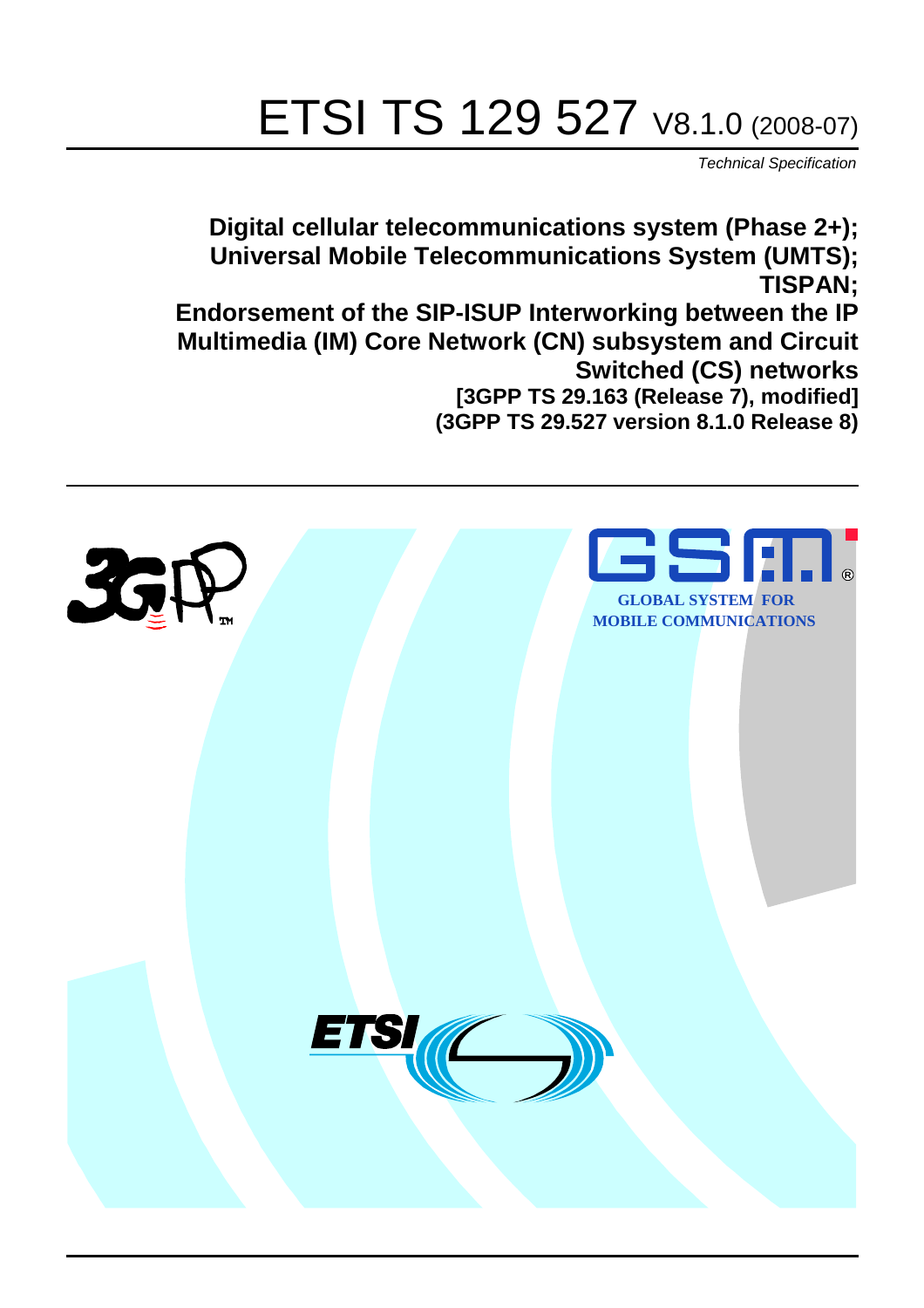# ETSI TS 129 527 V8.1.0 (2008-07)

*Technical Specification*

**Digital cellular telecommunications system (Phase 2+); Universal Mobile Telecommunications System (UMTS); TISPAN; Endorsement of the SIP-ISUP Interworking between the IP Multimedia (IM) Core Network (CN) subsystem and Circuit Switched (CS) networks [3GPP TS 29.163 (Release 7), modified] (3GPP TS 29.527 version 8.1.0 Release 8)**

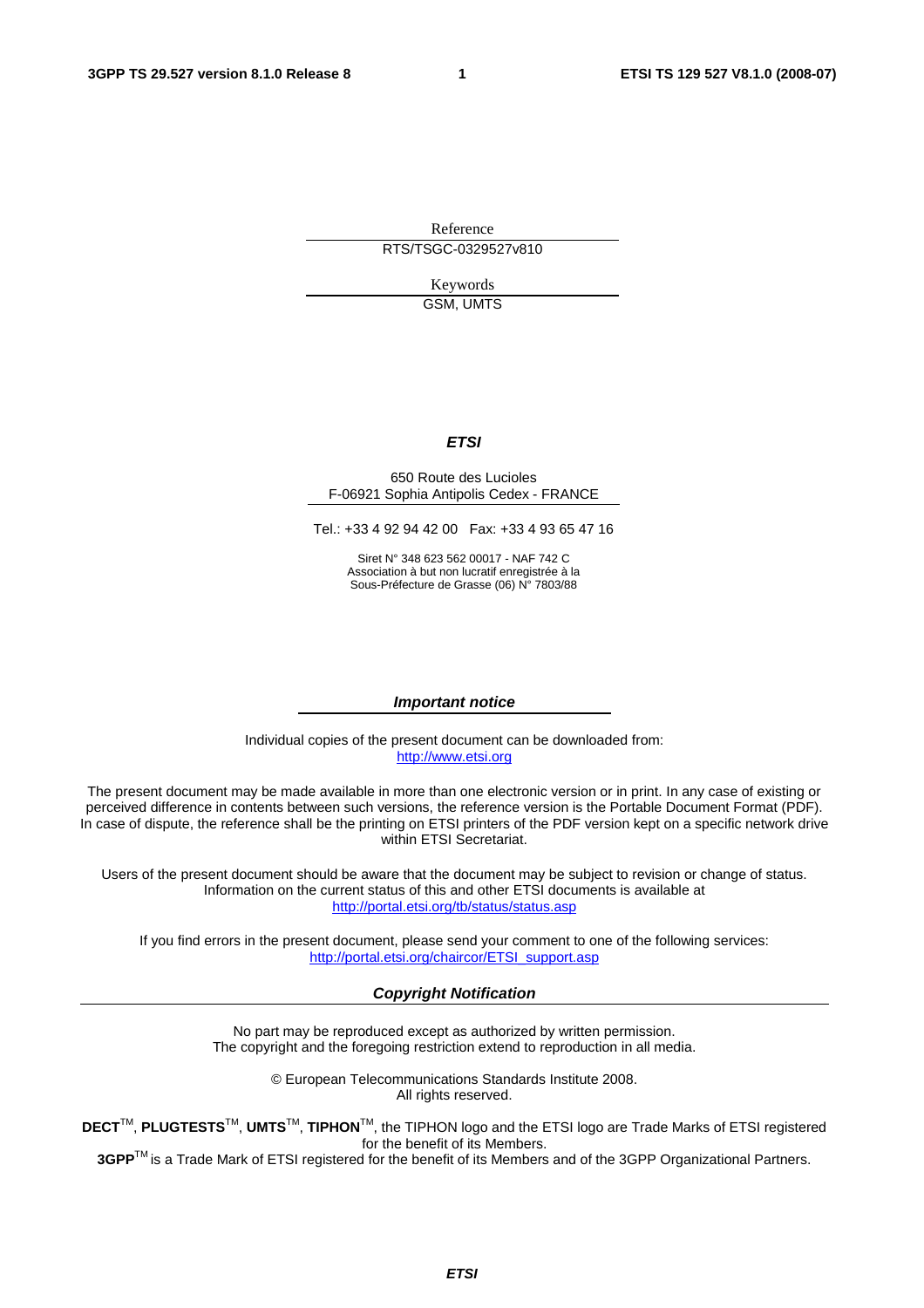Reference RTS/TSGC-0329527v810

Keywords

GSM, UMTS

### *ETSI*

#### 650 Route des Lucioles F-06921 Sophia Antipolis Cedex - FRANCE

Tel.: +33 4 92 94 42 00 Fax: +33 4 93 65 47 16

Siret N° 348 623 562 00017 - NAF 742 C Association à but non lucratif enregistrée à la Sous-Préfecture de Grasse (06) N° 7803/88

#### *Important notice*

Individual copies of the present document can be downloaded from: [http://www.etsi.org](http://www.etsi.org/)

The present document may be made available in more than one electronic version or in print. In any case of existing or perceived difference in contents between such versions, the reference version is the Portable Document Format (PDF). In case of dispute, the reference shall be the printing on ETSI printers of the PDF version kept on a specific network drive within ETSI Secretariat.

Users of the present document should be aware that the document may be subject to revision or change of status. Information on the current status of this and other ETSI documents is available at <http://portal.etsi.org/tb/status/status.asp>

If you find errors in the present document, please send your comment to one of the following services: [http://portal.etsi.org/chaircor/ETSI\\_support.asp](http://portal.etsi.org/chaircor/ETSI_support.asp)

#### *Copyright Notification*

No part may be reproduced except as authorized by written permission. The copyright and the foregoing restriction extend to reproduction in all media.

> © European Telecommunications Standards Institute 2008. All rights reserved.

**DECT**TM, **PLUGTESTS**TM, **UMTS**TM, **TIPHON**TM, the TIPHON logo and the ETSI logo are Trade Marks of ETSI registered for the benefit of its Members.

**3GPP**TM is a Trade Mark of ETSI registered for the benefit of its Members and of the 3GPP Organizational Partners.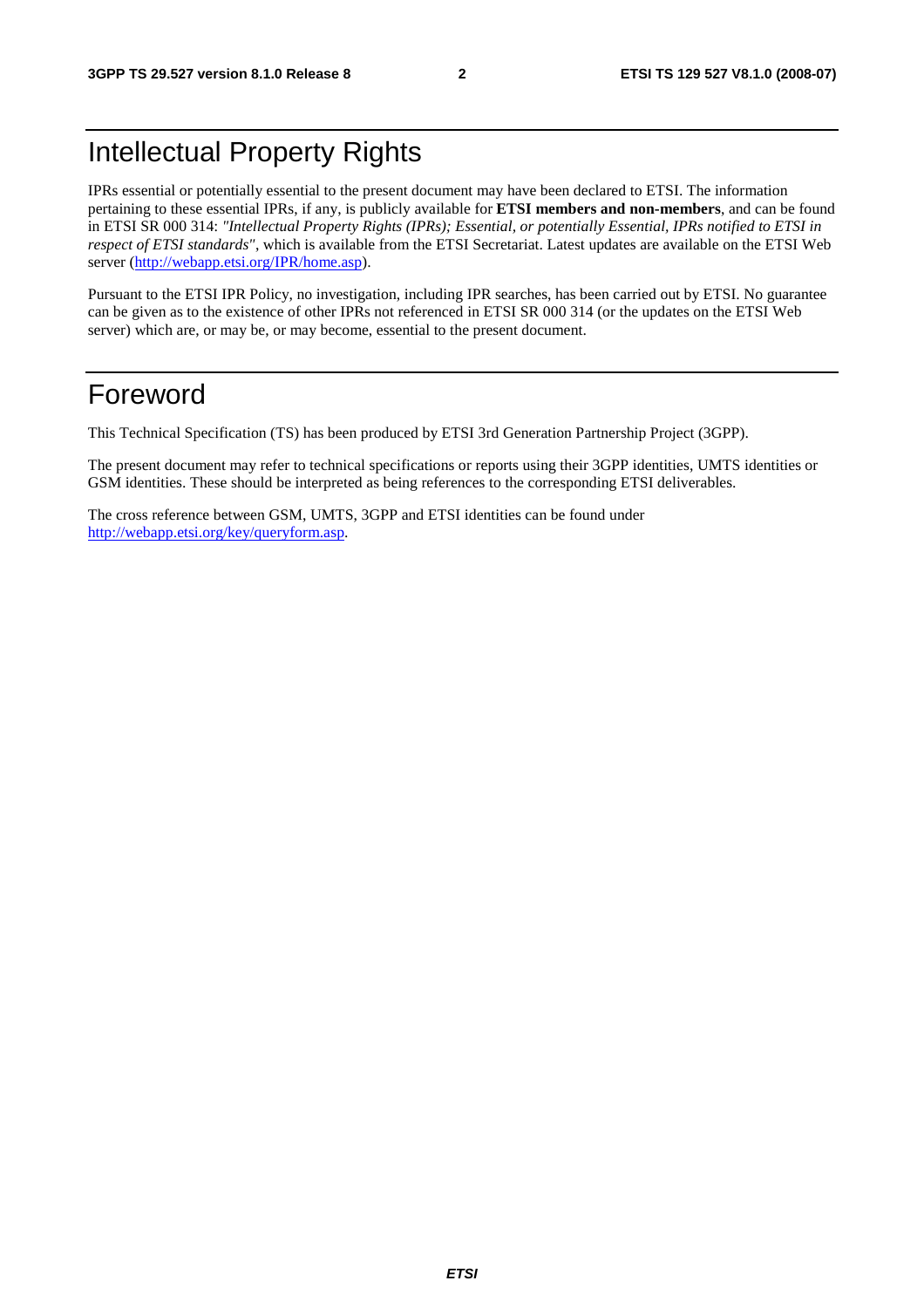### Intellectual Property Rights

IPRs essential or potentially essential to the present document may have been declared to ETSI. The information pertaining to these essential IPRs, if any, is publicly available for **ETSI members and non-members**, and can be found in ETSI SR 000 314: *"Intellectual Property Rights (IPRs); Essential, or potentially Essential, IPRs notified to ETSI in respect of ETSI standards"*, which is available from the ETSI Secretariat. Latest updates are available on the ETSI Web server ([http://webapp.etsi.org/IPR/home.asp\)](http://webapp.etsi.org/IPR/home.asp).

Pursuant to the ETSI IPR Policy, no investigation, including IPR searches, has been carried out by ETSI. No guarantee can be given as to the existence of other IPRs not referenced in ETSI SR 000 314 (or the updates on the ETSI Web server) which are, or may be, or may become, essential to the present document.

### Foreword

This Technical Specification (TS) has been produced by ETSI 3rd Generation Partnership Project (3GPP).

The present document may refer to technical specifications or reports using their 3GPP identities, UMTS identities or GSM identities. These should be interpreted as being references to the corresponding ETSI deliverables.

The cross reference between GSM, UMTS, 3GPP and ETSI identities can be found under [http://webapp.etsi.org/key/queryform.asp.](http://webapp.etsi.org/key/queryform.asp)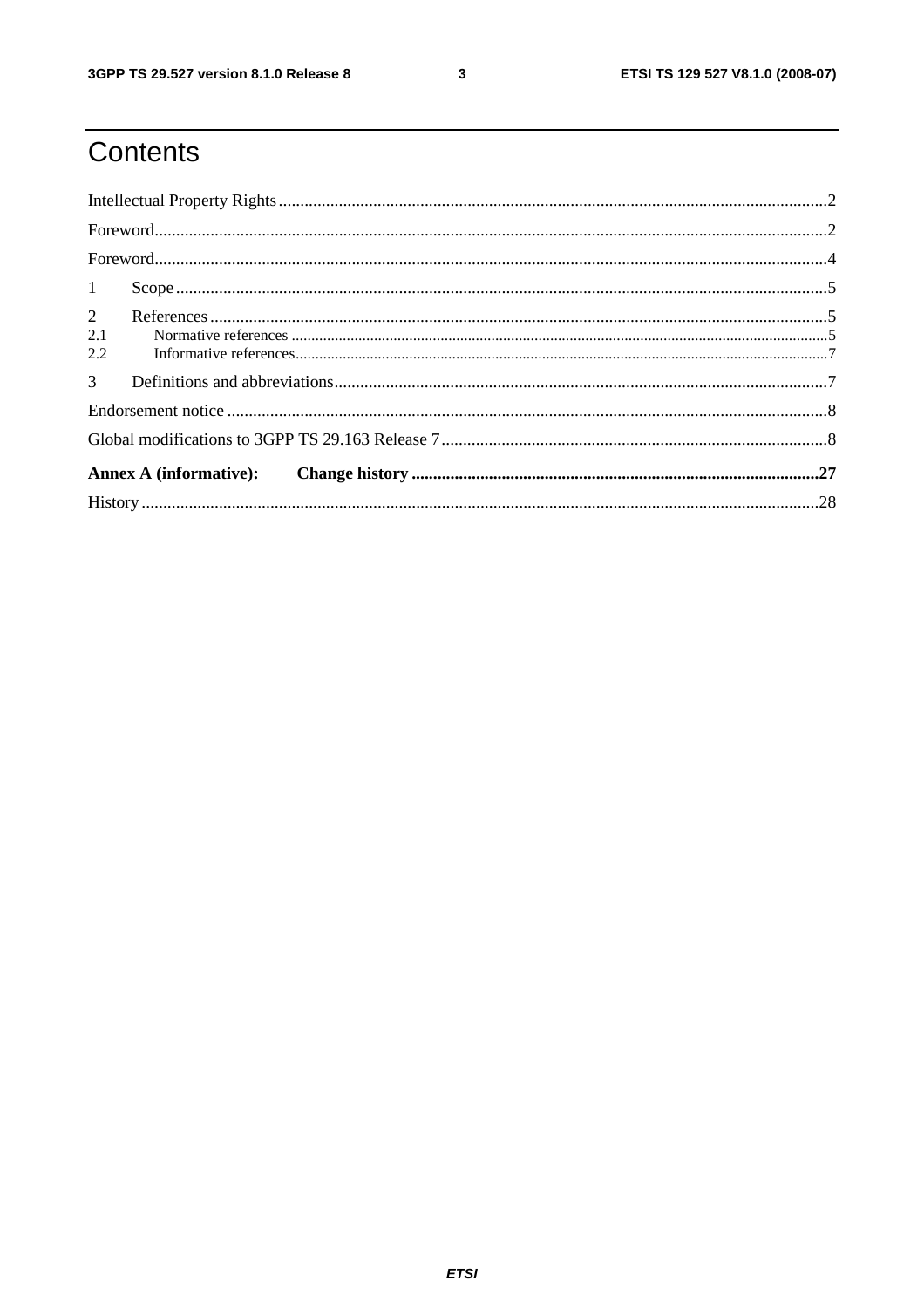$\mathbf{3}$ 

### Contents

| 1                            |  |
|------------------------------|--|
| $\overline{2}$<br>2.1<br>2.2 |  |
| 3 <sup>1</sup>               |  |
|                              |  |
|                              |  |
|                              |  |
|                              |  |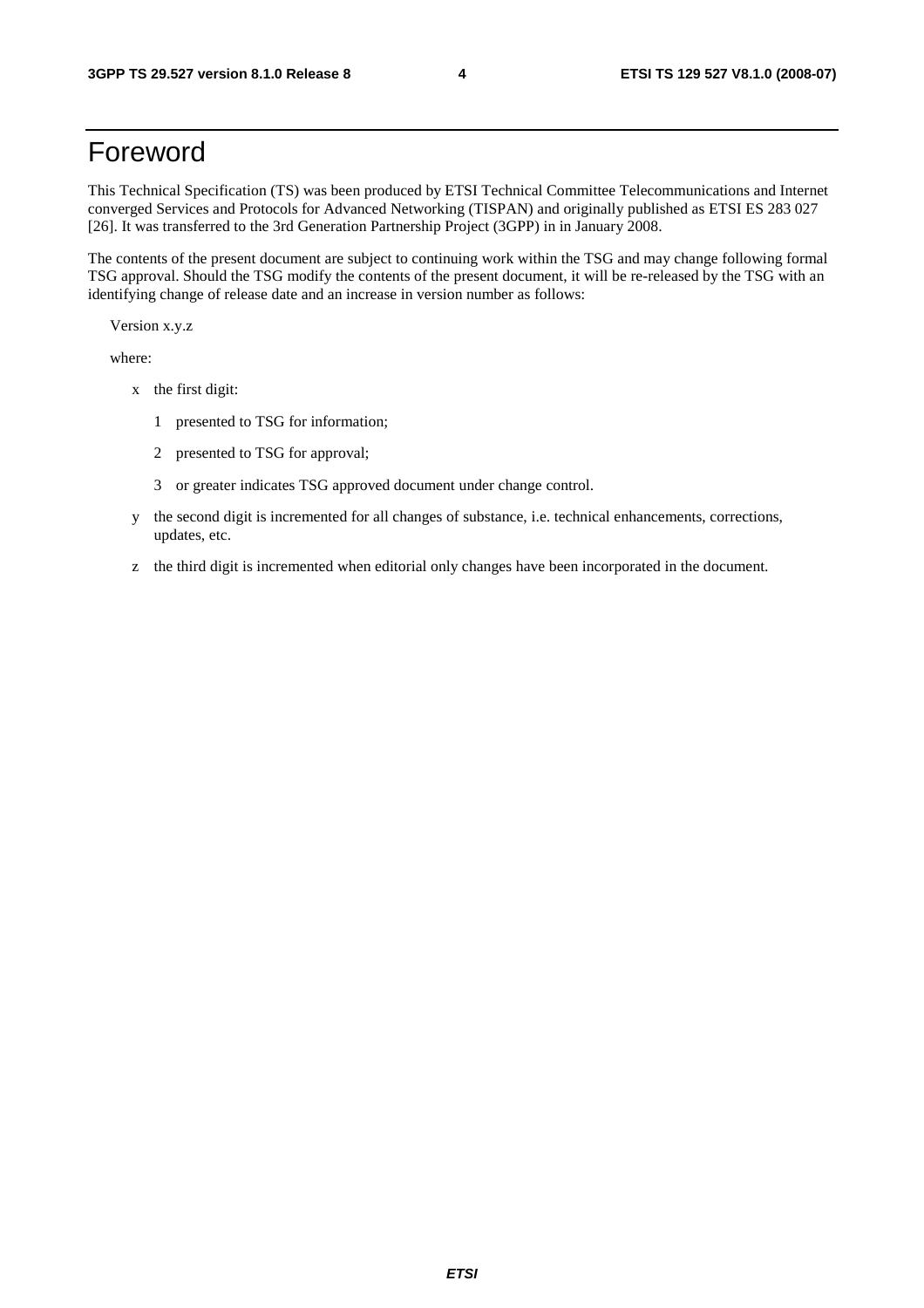### Foreword

This Technical Specification (TS) was been produced by ETSI Technical Committee Telecommunications and Internet converged Services and Protocols for Advanced Networking (TISPAN) and originally published as ETSI ES 283 027 [26]. It was transferred to the 3rd Generation Partnership Project (3GPP) in in January 2008.

The contents of the present document are subject to continuing work within the TSG and may change following formal TSG approval. Should the TSG modify the contents of the present document, it will be re-released by the TSG with an identifying change of release date and an increase in version number as follows:

Version x.y.z

where:

- x the first digit:
	- 1 presented to TSG for information;
	- 2 presented to TSG for approval;
	- 3 or greater indicates TSG approved document under change control.
- y the second digit is incremented for all changes of substance, i.e. technical enhancements, corrections, updates, etc.
- z the third digit is incremented when editorial only changes have been incorporated in the document.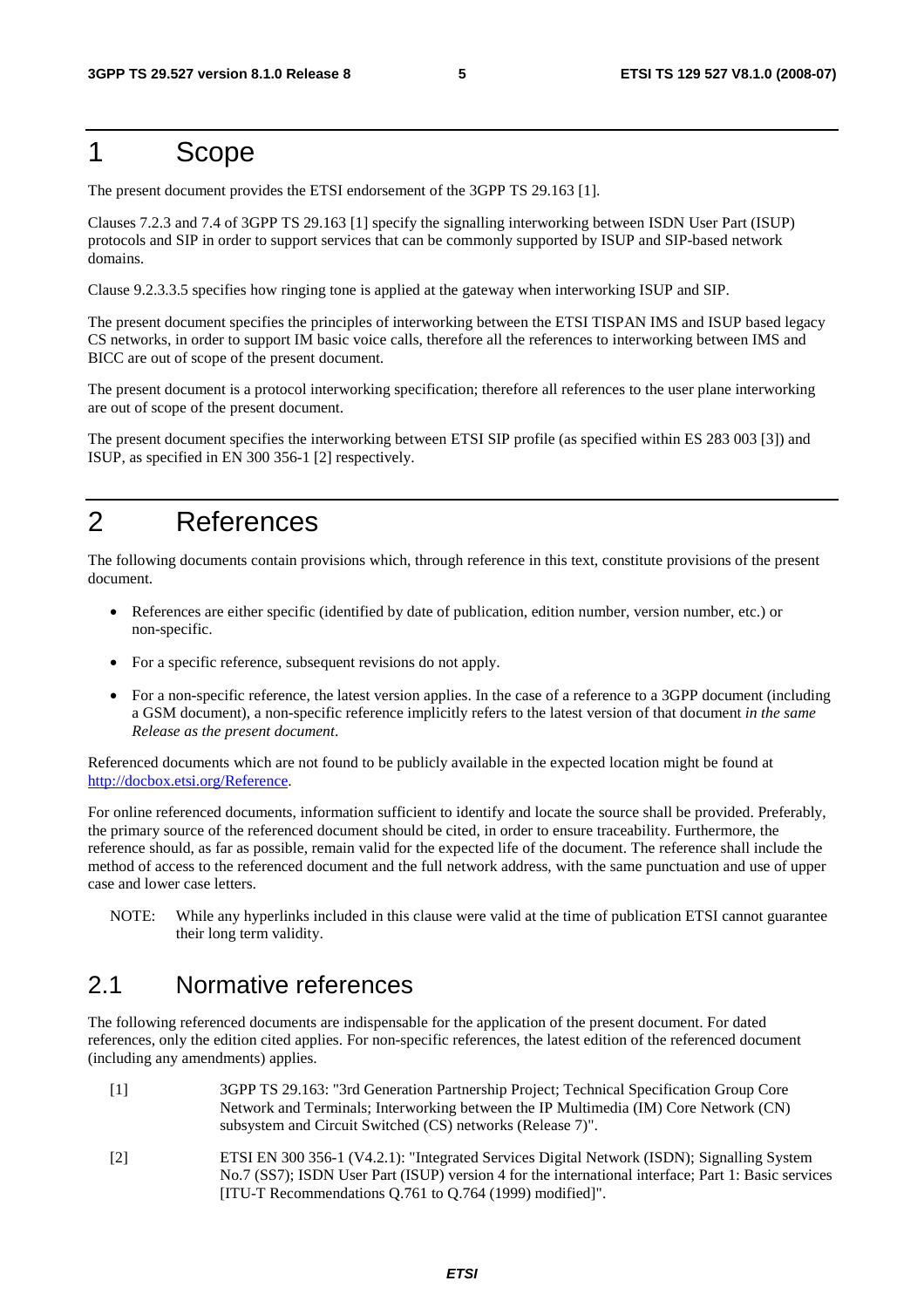### 1 Scope

The present document provides the ETSI endorsement of the 3GPP TS 29.163 [1].

Clauses 7.2.3 and 7.4 of 3GPP TS 29.163 [1] specify the signalling interworking between ISDN User Part (ISUP) protocols and SIP in order to support services that can be commonly supported by ISUP and SIP-based network domains.

Clause 9.2.3.3.5 specifies how ringing tone is applied at the gateway when interworking ISUP and SIP.

The present document specifies the principles of interworking between the ETSI TISPAN IMS and ISUP based legacy CS networks, in order to support IM basic voice calls, therefore all the references to interworking between IMS and BICC are out of scope of the present document.

The present document is a protocol interworking specification; therefore all references to the user plane interworking are out of scope of the present document.

The present document specifies the interworking between ETSI SIP profile (as specified within ES 283 003 [3]) and ISUP, as specified in EN 300 356-1 [2] respectively.

### 2 References

The following documents contain provisions which, through reference in this text, constitute provisions of the present document.

- References are either specific (identified by date of publication, edition number, version number, etc.) or non-specific.
- For a specific reference, subsequent revisions do not apply.
- For a non-specific reference, the latest version applies. In the case of a reference to a 3GPP document (including a GSM document), a non-specific reference implicitly refers to the latest version of that document *in the same Release as the present document*.

Referenced documents which are not found to be publicly available in the expected location might be found at <http://docbox.etsi.org/Reference>.

For online referenced documents, information sufficient to identify and locate the source shall be provided. Preferably, the primary source of the referenced document should be cited, in order to ensure traceability. Furthermore, the reference should, as far as possible, remain valid for the expected life of the document. The reference shall include the method of access to the referenced document and the full network address, with the same punctuation and use of upper case and lower case letters.

NOTE: While any hyperlinks included in this clause were valid at the time of publication ETSI cannot guarantee their long term validity.

### 2.1 Normative references

The following referenced documents are indispensable for the application of the present document. For dated references, only the edition cited applies. For non-specific references, the latest edition of the referenced document (including any amendments) applies.

- [1] 3GPP TS 29.163: "3rd Generation Partnership Project; Technical Specification Group Core Network and Terminals; Interworking between the IP Multimedia (IM) Core Network (CN) subsystem and Circuit Switched (CS) networks (Release 7)".
- [2] ETSI EN 300 356-1 (V4.2.1): "Integrated Services Digital Network (ISDN); Signalling System No.7 (SS7); ISDN User Part (ISUP) version 4 for the international interface; Part 1: Basic services [ITU-T Recommendations Q.761 to Q.764 (1999) modified]".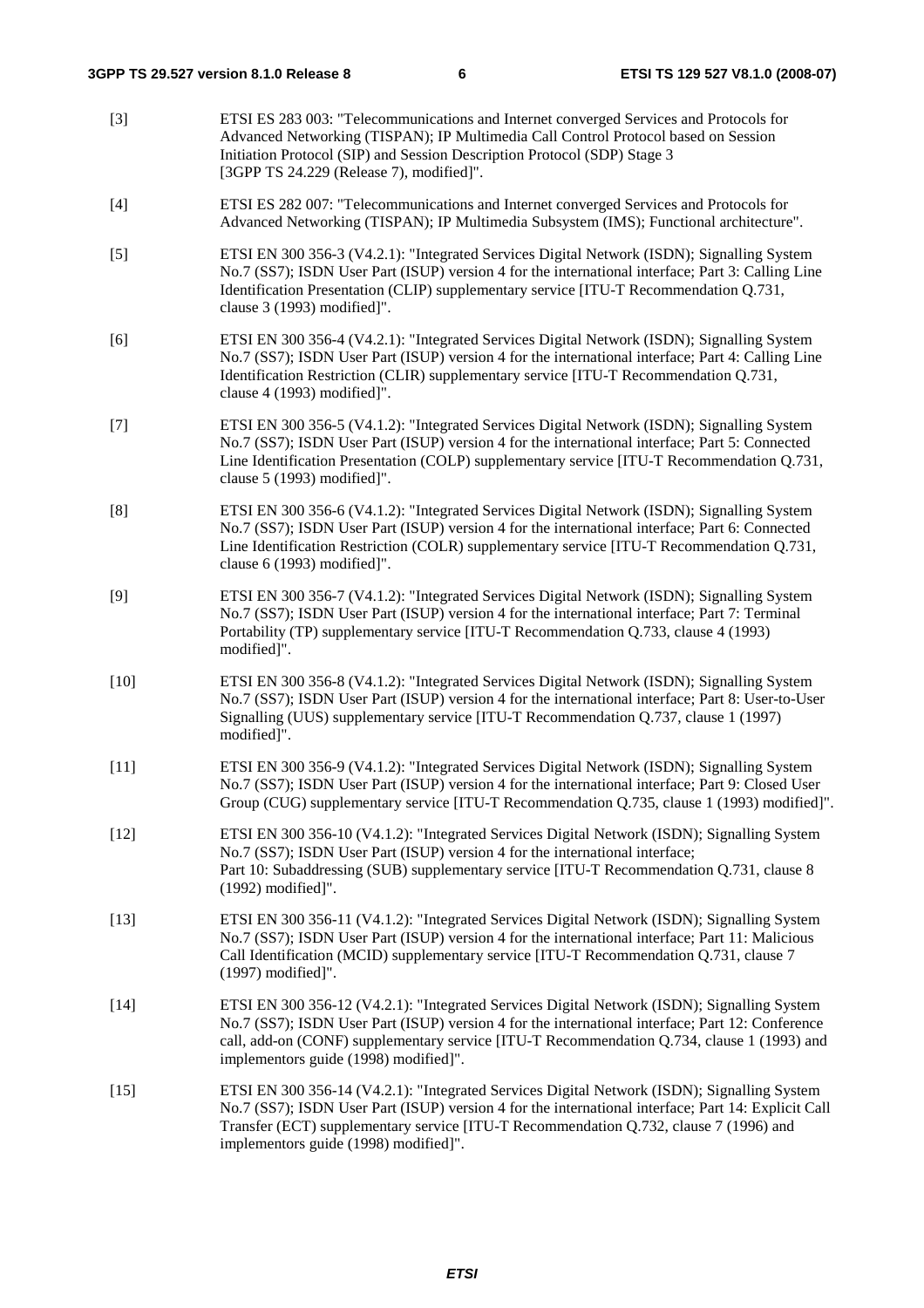[3] ETSI ES 283 003: "Telecommunications and Internet converged Services and Protocols for Advanced Networking (TISPAN); IP Multimedia Call Control Protocol based on Session Initiation Protocol (SIP) and Session Description Protocol (SDP) Stage 3 [3GPP TS 24.229 (Release 7), modified]". [4] ETSI ES 282 007: "Telecommunications and Internet converged Services and Protocols for Advanced Networking (TISPAN); IP Multimedia Subsystem (IMS); Functional architecture". [5] ETSI EN 300 356-3 (V4.2.1): "Integrated Services Digital Network (ISDN); Signalling System No.7 (SS7); ISDN User Part (ISUP) version 4 for the international interface; Part 3: Calling Line Identification Presentation (CLIP) supplementary service [ITU-T Recommendation Q.731, clause 3 (1993) modified]". [6] ETSI EN 300 356-4 (V4.2.1): "Integrated Services Digital Network (ISDN); Signalling System No.7 (SS7); ISDN User Part (ISUP) version 4 for the international interface; Part 4: Calling Line Identification Restriction (CLIR) supplementary service [ITU-T Recommendation Q.731, clause 4 (1993) modified]". [7] ETSI EN 300 356-5 (V4.1.2): "Integrated Services Digital Network (ISDN); Signalling System No.7 (SS7); ISDN User Part (ISUP) version 4 for the international interface; Part 5: Connected Line Identification Presentation (COLP) supplementary service [ITU-T Recommendation Q.731, clause 5 (1993) modified]". [8] ETSI EN 300 356-6 (V4.1.2): "Integrated Services Digital Network (ISDN); Signalling System No.7 (SS7); ISDN User Part (ISUP) version 4 for the international interface; Part 6: Connected Line Identification Restriction (COLR) supplementary service [ITU-T Recommendation Q.731, clause 6 (1993) modified]". [9] ETSI EN 300 356-7 (V4.1.2): "Integrated Services Digital Network (ISDN); Signalling System No.7 (SS7); ISDN User Part (ISUP) version 4 for the international interface; Part 7: Terminal Portability (TP) supplementary service [ITU-T Recommendation Q.733, clause 4 (1993) modified]". [10] ETSI EN 300 356-8 (V4.1.2): "Integrated Services Digital Network (ISDN); Signalling System No.7 (SS7); ISDN User Part (ISUP) version 4 for the international interface; Part 8: User-to-User Signalling (UUS) supplementary service [ITU-T Recommendation Q.737, clause 1 (1997) modified]". [11] ETSI EN 300 356-9 (V4.1.2): "Integrated Services Digital Network (ISDN); Signalling System No.7 (SS7); ISDN User Part (ISUP) version 4 for the international interface; Part 9: Closed User Group (CUG) supplementary service [ITU-T Recommendation Q.735, clause 1 (1993) modified]". [12] ETSI EN 300 356-10 (V4.1.2): "Integrated Services Digital Network (ISDN); Signalling System No.7 (SS7); ISDN User Part (ISUP) version 4 for the international interface; Part 10: Subaddressing (SUB) supplementary service [ITU-T Recommendation Q.731, clause 8 (1992) modified]". [13] ETSI EN 300 356-11 (V4.1.2): "Integrated Services Digital Network (ISDN); Signalling System No.7 (SS7); ISDN User Part (ISUP) version 4 for the international interface; Part 11: Malicious Call Identification (MCID) supplementary service [ITU-T Recommendation Q.731, clause 7 (1997) modified]". [14] ETSI EN 300 356-12 (V4.2.1): "Integrated Services Digital Network (ISDN); Signalling System No.7 (SS7); ISDN User Part (ISUP) version 4 for the international interface; Part 12: Conference call, add-on (CONF) supplementary service [ITU-T Recommendation Q.734, clause 1 (1993) and implementors guide (1998) modified]". [15] ETSI EN 300 356-14 (V4.2.1): "Integrated Services Digital Network (ISDN); Signalling System No.7 (SS7); ISDN User Part (ISUP) version 4 for the international interface; Part 14: Explicit Call Transfer (ECT) supplementary service [ITU-T Recommendation Q.732, clause 7 (1996) and implementors guide (1998) modified]".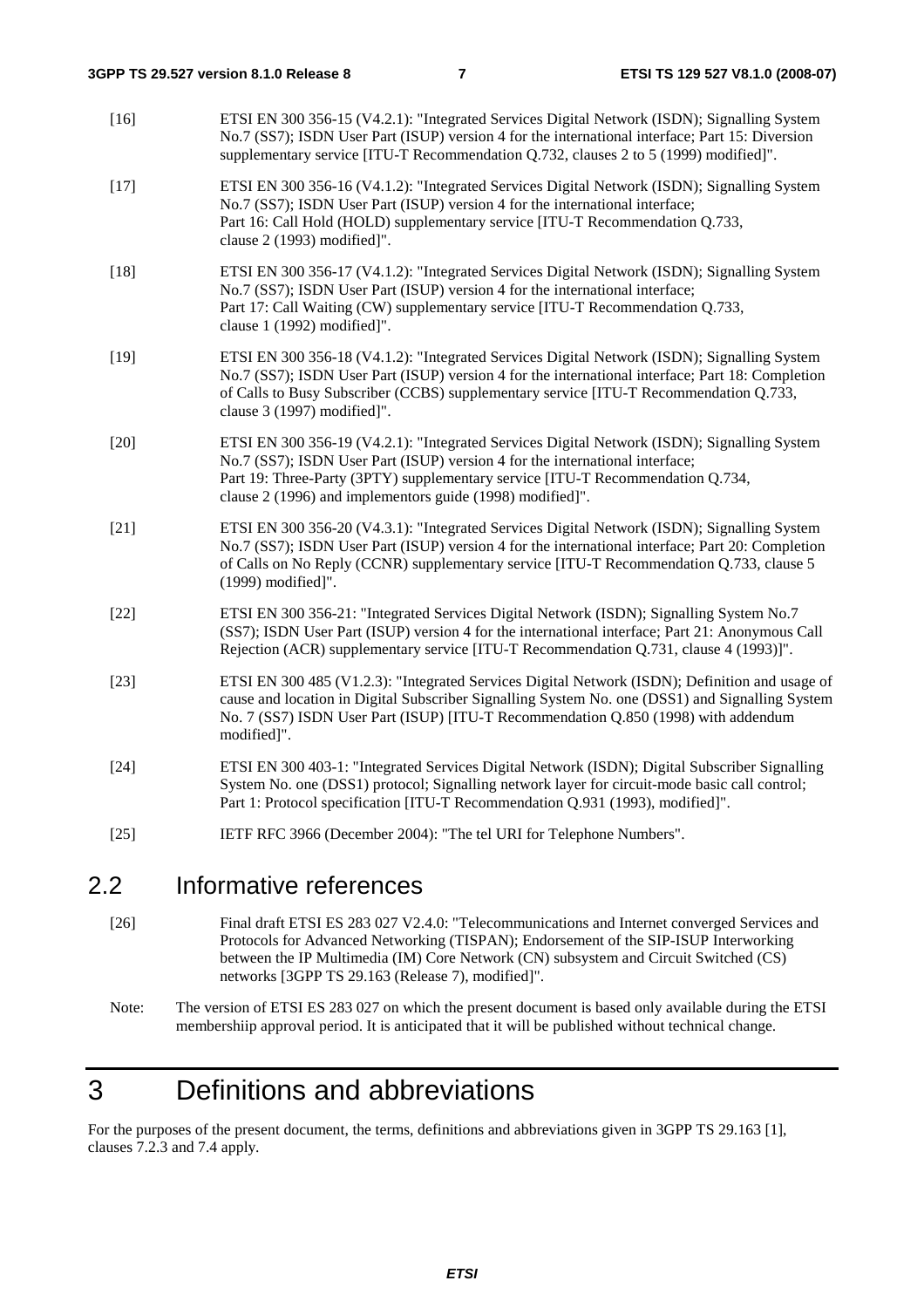| $\sim$ | $\mathbf{L} = \mathbf{L} \times \mathbf{L}$ and $\mathbf{L} = \mathbf{L} \times \mathbf{L}$                                                                                                                                                                                                                                |
|--------|----------------------------------------------------------------------------------------------------------------------------------------------------------------------------------------------------------------------------------------------------------------------------------------------------------------------------|
| $[25]$ | IETF RFC 3966 (December 2004): "The tel URI for Telephone Numbers".                                                                                                                                                                                                                                                        |
| $[24]$ | ETSI EN 300 403-1: "Integrated Services Digital Network (ISDN); Digital Subscriber Signalling<br>System No. one (DSS1) protocol; Signalling network layer for circuit-mode basic call control;<br>Part 1: Protocol specification [ITU-T Recommendation Q.931 (1993), modified]".                                           |
| $[23]$ | ETSI EN 300 485 (V1.2.3): "Integrated Services Digital Network (ISDN); Definition and usage of<br>cause and location in Digital Subscriber Signalling System No. one (DSS1) and Signalling System<br>No. 7 (SS7) ISDN User Part (ISUP) [ITU-T Recommendation Q.850 (1998) with addendum<br>modified]".                     |
| $[22]$ | ETSI EN 300 356-21: "Integrated Services Digital Network (ISDN); Signalling System No.7<br>(SS7); ISDN User Part (ISUP) version 4 for the international interface; Part 21: Anonymous Call<br>Rejection (ACR) supplementary service [ITU-T Recommendation Q.731, clause 4 (1993)]".                                        |
| $[21]$ | ETSI EN 300 356-20 (V4.3.1): "Integrated Services Digital Network (ISDN); Signalling System<br>No.7 (SS7); ISDN User Part (ISUP) version 4 for the international interface; Part 20: Completion<br>of Calls on No Reply (CCNR) supplementary service [ITU-T Recommendation Q.733, clause 5<br>(1999) modified]".           |
| $[20]$ | ETSI EN 300 356-19 (V4.2.1): "Integrated Services Digital Network (ISDN); Signalling System<br>No.7 (SS7); ISDN User Part (ISUP) version 4 for the international interface;<br>Part 19: Three-Party (3PTY) supplementary service [ITU-T Recommendation Q.734,<br>clause 2 (1996) and implementors guide (1998) modified]". |
| $[19]$ | ETSI EN 300 356-18 (V4.1.2): "Integrated Services Digital Network (ISDN); Signalling System<br>No.7 (SS7); ISDN User Part (ISUP) version 4 for the international interface; Part 18: Completion<br>of Calls to Busy Subscriber (CCBS) supplementary service [ITU-T Recommendation Q.733,<br>clause 3 (1997) modified]".    |
| $[18]$ | ETSI EN 300 356-17 (V4.1.2): "Integrated Services Digital Network (ISDN); Signalling System<br>No.7 (SS7); ISDN User Part (ISUP) version 4 for the international interface;<br>Part 17: Call Waiting (CW) supplementary service [ITU-T Recommendation Q.733,<br>clause 1 (1992) modified]".                                |
| $[17]$ | ETSI EN 300 356-16 (V4.1.2): "Integrated Services Digital Network (ISDN); Signalling System<br>No.7 (SS7); ISDN User Part (ISUP) version 4 for the international interface;<br>Part 16: Call Hold (HOLD) supplementary service [ITU-T Recommendation Q.733,<br>clause 2 (1993) modified]".                                 |
| $[16]$ | ETSI EN 300 356-15 (V4.2.1): "Integrated Services Digital Network (ISDN); Signalling System<br>No.7 (SS7); ISDN User Part (ISUP) version 4 for the international interface; Part 15: Diversion<br>supplementary service [ITU-T Recommendation Q.732, clauses 2 to 5 (1999) modified]".                                     |

### 2.2 Informative references

- [26] Final draft ETSI ES 283 027 V2.4.0: "Telecommunications and Internet converged Services and Protocols for Advanced Networking (TISPAN); Endorsement of the SIP-ISUP Interworking between the IP Multimedia (IM) Core Network (CN) subsystem and Circuit Switched (CS) networks [3GPP TS 29.163 (Release 7), modified]".
- Note: The version of ETSI ES 283 027 on which the present document is based only available during the ETSI membershiip approval period. It is anticipated that it will be published without technical change.

## 3 Definitions and abbreviations

For the purposes of the present document, the terms, definitions and abbreviations given in 3GPP TS 29.163 [1], clauses 7.2.3 and 7.4 apply.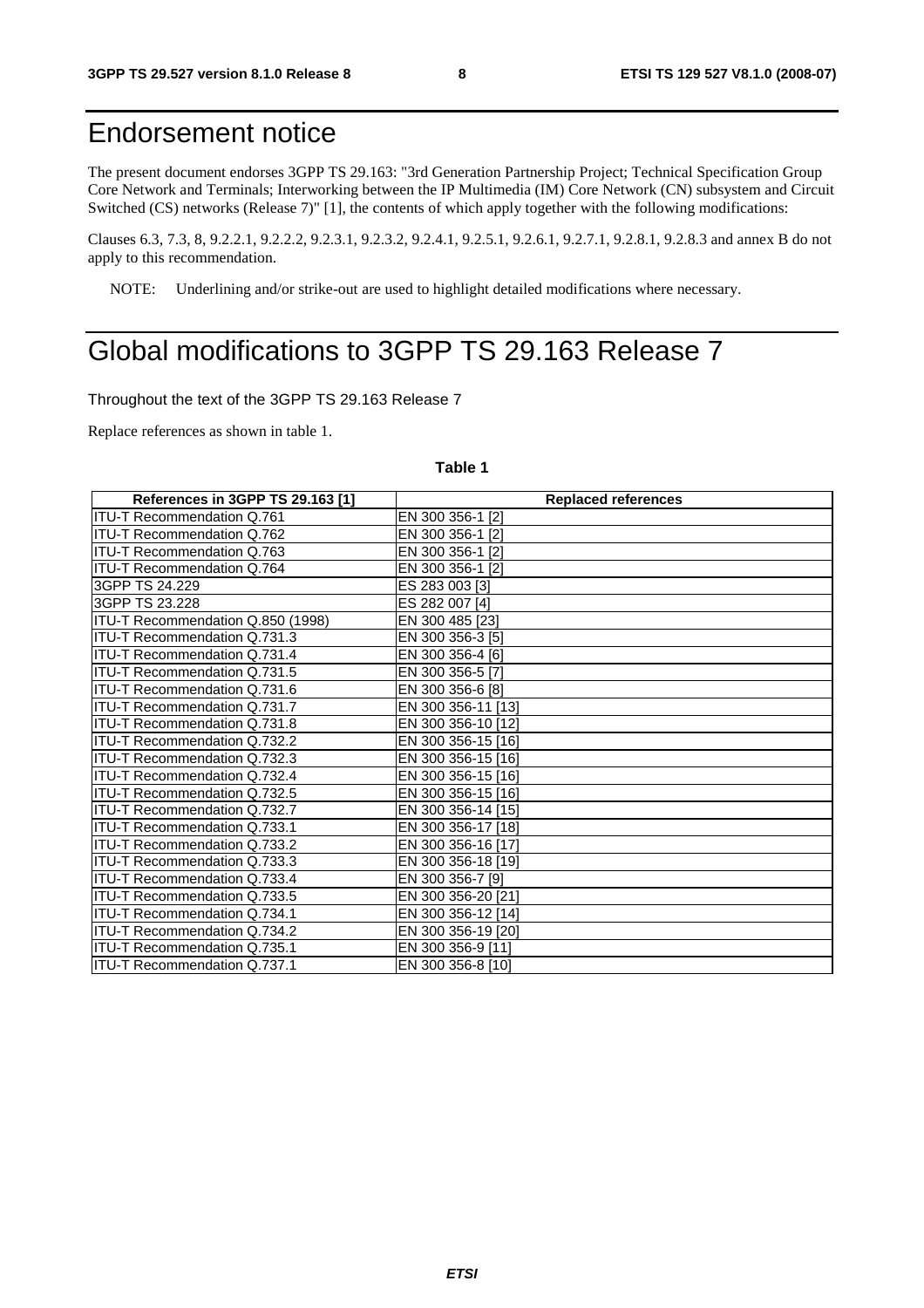### Endorsement notice

The present document endorses 3GPP TS 29.163: "3rd Generation Partnership Project; Technical Specification Group Core Network and Terminals; Interworking between the IP Multimedia (IM) Core Network (CN) subsystem and Circuit Switched (CS) networks (Release 7)" [1], the contents of which apply together with the following modifications:

Clauses 6.3, 7.3, 8, 9.2.2.1, 9.2.2.2, 9.2.3.1, 9.2.3.2, 9.2.4.1, 9.2.5.1, 9.2.6.1, 9.2.7.1, 9.2.8.1, 9.2.8.3 and annex B do not apply to this recommendation.

NOTE: Underlining and/or strike-out are used to highlight detailed modifications where necessary.

### Global modifications to 3GPP TS 29.163 Release 7

Throughout the text of the 3GPP TS 29.163 Release 7

Replace references as shown in table 1.

### **Table 1**

| References in 3GPP TS 29.163 [1]    | <b>Replaced references</b> |
|-------------------------------------|----------------------------|
| <b>ITU-T Recommendation Q.761</b>   | EN 300 356-1 [2]           |
| ITU-T Recommendation Q.762          | EN 300 356-1 [2]           |
| <b>ITU-T Recommendation Q.763</b>   | EN 300 356-1 [2]           |
| ITU-T Recommendation Q.764          | EN 300 356-1 [2]           |
| 3GPP TS 24.229                      | ES 283 003 [3]             |
| 3GPP TS 23.228                      | ES 282 007 [4]             |
| ITU-T Recommendation Q.850 (1998)   | EN 300 485 [23]            |
| <b>ITU-T Recommendation Q.731.3</b> | EN 300 356-3 [5]           |
| IITU-T Recommendation Q.731.4       | EN 300 356-4 [6]           |
| ITU-T Recommendation Q.731.5        | EN 300 356-5 [7]           |
| ITU-T Recommendation Q.731.6        | EN 300 356-6 [8]           |
| <b>ITU-T Recommendation Q.731.7</b> | EN 300 356-11 [13]         |
| <b>ITU-T Recommendation Q.731.8</b> | EN 300 356-10 [12]         |
| <b>ITU-T Recommendation Q.732.2</b> | EN 300 356-15 [16]         |
| IITU-T Recommendation Q.732.3       | EN 300 356-15 [16]         |
| ITU-T Recommendation Q.732.4        | EN 300 356-15 [16]         |
| ITU-T Recommendation Q.732.5        | EN 300 356-15 [16]         |
| ITU-T Recommendation Q.732.7        | EN 300 356-14 [15]         |
| ITU-T Recommendation Q.733.1        | EN 300 356-17 [18]         |
| ITU-T Recommendation Q.733.2        | EN 300 356-16 [17]         |
| <b>ITU-T Recommendation Q.733.3</b> | EN 300 356-18 [19]         |
| ITU-T Recommendation Q.733.4        | EN 300 356-7 [9]           |
| ITU-T Recommendation Q.733.5        | EN 300 356-20 [21]         |
| ITU-T Recommendation Q.734.1        | EN 300 356-12 [14]         |
| ITU-T Recommendation Q.734.2        | EN 300 356-19 [20]         |
| <b>ITU-T Recommendation Q.735.1</b> | EN 300 356-9 [11]          |
| IITU-T Recommendation Q.737.1       | EN 300 356-8 [10]          |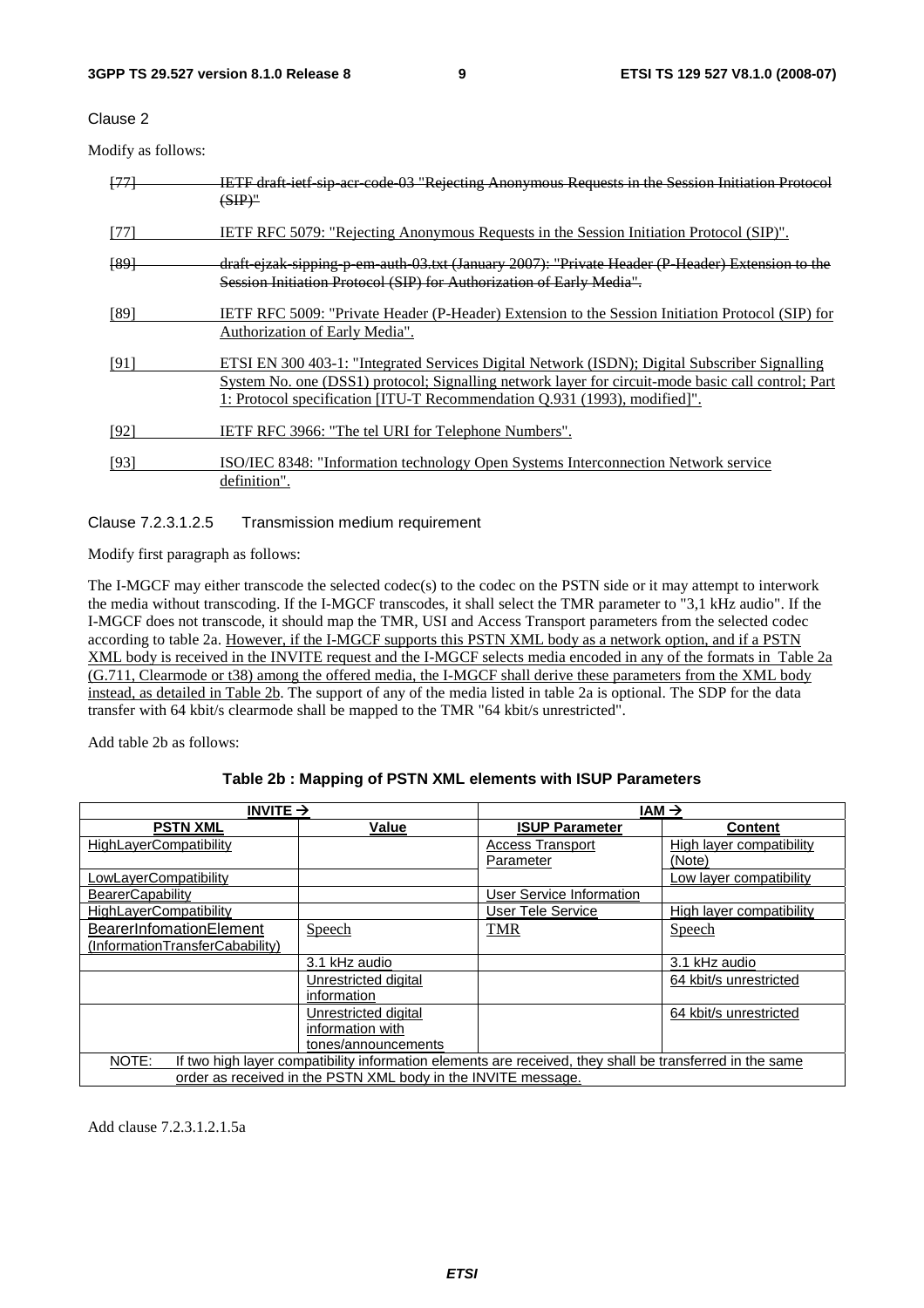Clause 2

Modify as follows:

| [77]            | IETF draft ietf sip acr code 03 "Rejecting Anonymous Requests in the Session Initiation Protocol<br>$(SIP)$ "                                                                                                                                                                    |
|-----------------|----------------------------------------------------------------------------------------------------------------------------------------------------------------------------------------------------------------------------------------------------------------------------------|
| [77]            | <b>IETF RFC 5079: "Rejecting Anonymous Requests in the Session Initiation Protocol (SIP)".</b>                                                                                                                                                                                   |
| <del>[89]</del> | draft ejzak sipping p em auth 03.txt (January 2007): "Private Header (P Header) Extension to the<br>Session Initiation Protocol (SIP) for Authorization of Early Media".                                                                                                         |
| [89]            | IETF RFC 5009: "Private Header (P-Header) Extension to the Session Initiation Protocol (SIP) for<br>Authorization of Early Media".                                                                                                                                               |
| [91]            | ETSI EN 300 403-1: "Integrated Services Digital Network (ISDN); Digital Subscriber Signalling<br>System No. one (DSS1) protocol; Signalling network layer for circuit-mode basic call control; Part<br>1: Protocol specification [ITU-T Recommendation Q.931 (1993), modified]". |
| [92]            | IETF RFC 3966: "The tel URI for Telephone Numbers".                                                                                                                                                                                                                              |
| [93]            | ISO/IEC 8348: "Information technology Open Systems Interconnection Network service<br>definition".                                                                                                                                                                               |

Clause 7.2.3.1.2.5 Transmission medium requirement

Modify first paragraph as follows:

The I-MGCF may either transcode the selected codec(s) to the codec on the PSTN side or it may attempt to interwork the media without transcoding. If the I-MGCF transcodes, it shall select the TMR parameter to "3,1 kHz audio". If the I-MGCF does not transcode, it should map the TMR, USI and Access Transport parameters from the selected codec according to table 2a. However, if the I-MGCF supports this PSTN XML body as a network option, and if a PSTN XML body is received in the INVITE request and the I-MGCF selects media encoded in any of the formats in Table 2a (G.711, Clearmode or t38) among the offered media, the I-MGCF shall derive these parameters from the XML body instead, as detailed in Table 2b. The support of any of the media listed in table 2a is optional. The SDP for the data transfer with 64 kbit/s clearmode shall be mapped to the TMR "64 kbit/s unrestricted".

Add table 2b as follows:

#### **Table 2b : Mapping of PSTN XML elements with ISUP Parameters**

| INVITE $\rightarrow$                                          |                      | $IAM \rightarrow$                                                                                        |                          |
|---------------------------------------------------------------|----------------------|----------------------------------------------------------------------------------------------------------|--------------------------|
| <b>PSTN XML</b>                                               | Value                | <b>ISUP Parameter</b>                                                                                    | <b>Content</b>           |
| <b>HighLayerCompatibility</b>                                 |                      | <b>Access Transport</b>                                                                                  | High layer compatibility |
|                                                               |                      | Parameter                                                                                                | (Note)                   |
| LowLayerCompatibility                                         |                      |                                                                                                          | Low layer compatibility  |
| <b>BearerCapability</b>                                       |                      | <b>User Service Information</b>                                                                          |                          |
| <b>HighLayerCompatibility</b>                                 |                      | User Tele Service                                                                                        | High layer compatibility |
| BearerInfomationElement                                       | Speech               | <b>TMR</b>                                                                                               | Speech                   |
| (InformationTransferCabability)                               |                      |                                                                                                          |                          |
|                                                               | 3.1 kHz audio        |                                                                                                          | 3.1 kHz audio            |
|                                                               | Unrestricted digital |                                                                                                          | 64 kbit/s unrestricted   |
|                                                               | information          |                                                                                                          |                          |
|                                                               | Unrestricted digital |                                                                                                          | 64 kbit/s unrestricted   |
|                                                               | information with     |                                                                                                          |                          |
|                                                               | tones/announcements  |                                                                                                          |                          |
| NOTE:                                                         |                      | If two high layer compatibility information elements are received, they shall be transferred in the same |                          |
| order as received in the PSTN XML body in the INVITE message. |                      |                                                                                                          |                          |

Add clause 7.2.3.1.2.1.5a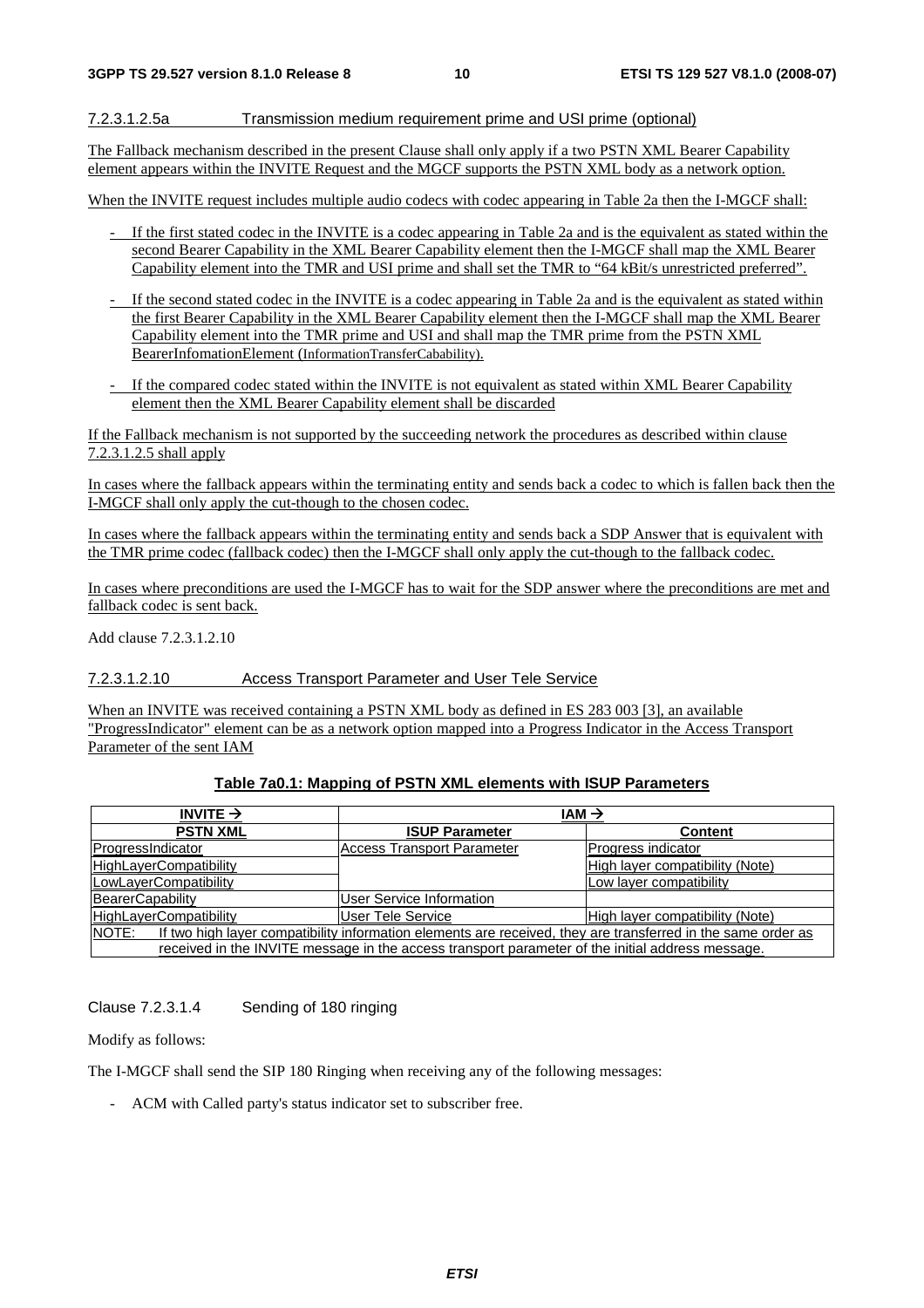#### 7.2.3.1.2.5a Transmission medium requirement prime and USI prime (optional)

The Fallback mechanism described in the present Clause shall only apply if a two PSTN XML Bearer Capability element appears within the INVITE Request and the MGCF supports the PSTN XML body as a network option.

When the INVITE request includes multiple audio codecs with codec appearing in Table 2a then the I-MGCF shall:

- If the first stated codec in the INVITE is a codec appearing in Table 2a and is the equivalent as stated within the second Bearer Capability in the XML Bearer Capability element then the I-MGCF shall map the XML Bearer Capability element into the TMR and USI prime and shall set the TMR to "64 kBit/s unrestricted preferred".
- If the second stated codec in the INVITE is a codec appearing in Table 2a and is the equivalent as stated within the first Bearer Capability in the XML Bearer Capability element then the I-MGCF shall map the XML Bearer Capability element into the TMR prime and USI and shall map the TMR prime from the PSTN XML BearerInfomationElement (InformationTransferCabability).
- If the compared codec stated within the INVITE is not equivalent as stated within XML Bearer Capability element then the XML Bearer Capability element shall be discarded

If the Fallback mechanism is not supported by the succeeding network the procedures as described within clause 7.2.3.1.2.5 shall apply

In cases where the fallback appears within the terminating entity and sends back a codec to which is fallen back then the I-MGCF shall only apply the cut-though to the chosen codec.

In cases where the fallback appears within the terminating entity and sends back a SDP Answer that is equivalent with the TMR prime codec (fallback codec) then the I-MGCF shall only apply the cut-though to the fallback codec.

In cases where preconditions are used the I-MGCF has to wait for the SDP answer where the preconditions are met and fallback codec is sent back.

Add clause 7.2.3.1.2.10

7.2.3.1.2.10 Access Transport Parameter and User Tele Service

When an INVITE was received containing a PSTN XML body as defined in ES 283 003 [3], an available "ProgressIndicator" element can be as a network option mapped into a Progress Indicator in the Access Transport Parameter of the sent IAM

#### **Table 7a0.1: Mapping of PSTN XML elements with ISUP Parameters**

| INVITE $\rightarrow$                                                                                                  | $IAM \rightarrow$                 |                                 |
|-----------------------------------------------------------------------------------------------------------------------|-----------------------------------|---------------------------------|
| <b>PSTN XML</b>                                                                                                       | <b>ISUP Parameter</b>             | <b>Content</b>                  |
| ProgressIndicator                                                                                                     | <b>Access Transport Parameter</b> | Progress indicator              |
| <b>HighLayerCompatibility</b>                                                                                         |                                   | High layer compatibility (Note) |
| LowLayerCompatibility                                                                                                 |                                   | Low layer compatibility         |
| BearerCapability                                                                                                      | <b>User Service Information</b>   |                                 |
| HighLayerCompatibility                                                                                                | User Tele Service                 | High layer compatibility (Note) |
| If two high layer compatibility information elements are received, they are transferred in the same order as<br>NOTE: |                                   |                                 |
| received in the INVITE message in the access transport parameter of the initial address message.                      |                                   |                                 |

Clause 7.2.3.1.4 Sending of 180 ringing

Modify as follows:

The I-MGCF shall send the SIP 180 Ringing when receiving any of the following messages:

- ACM with Called party's status indicator set to subscriber free.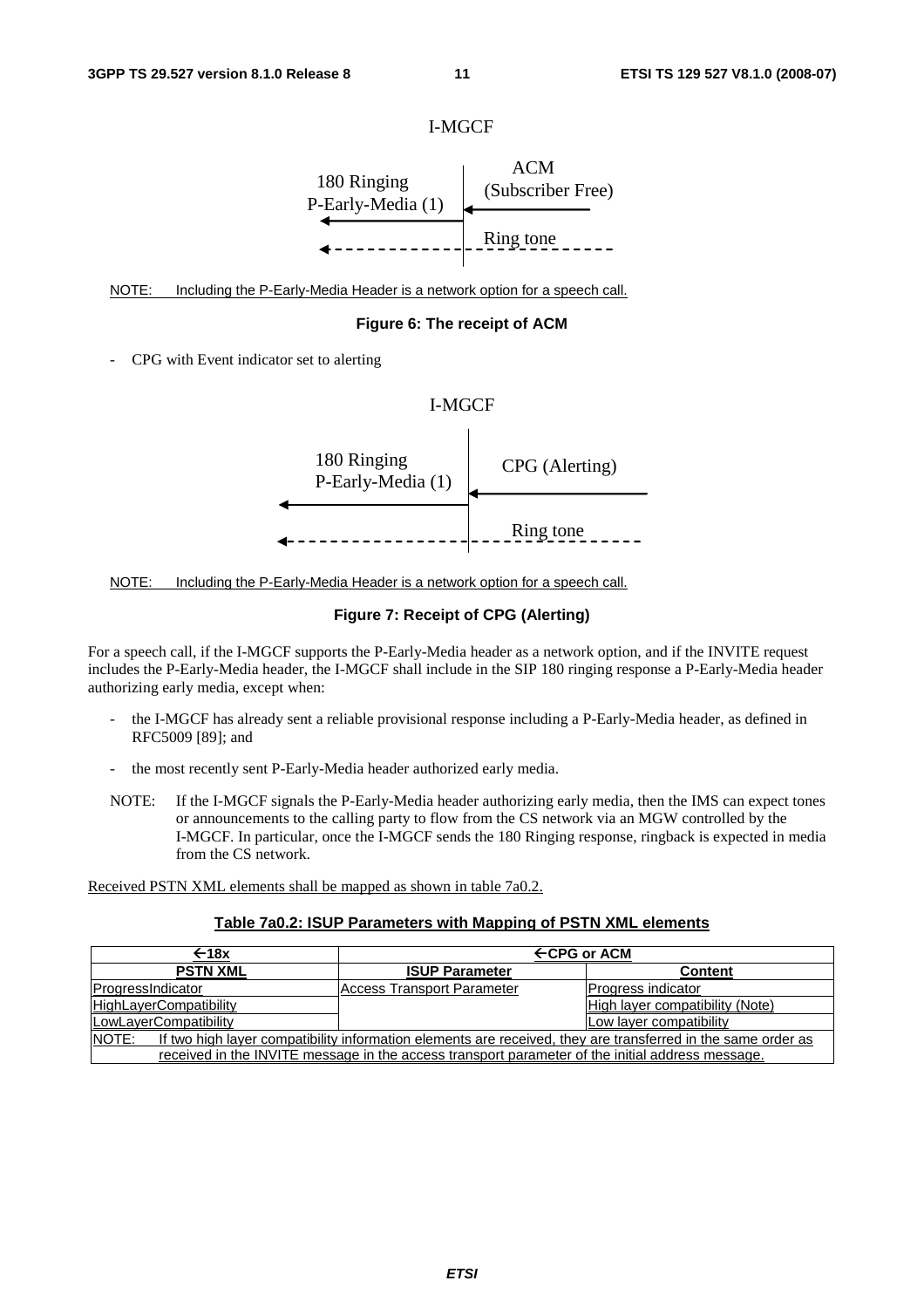



NOTE: Including the P-Early-Media Header is a network option for a speech call.

#### **Figure 6: The receipt of ACM**

- CPG with Event indicator set to alerting

### I-MGCF





### **Figure 7: Receipt of CPG (Alerting)**

For a speech call, if the I-MGCF supports the P-Early-Media header as a network option, and if the INVITE request includes the P-Early-Media header, the I-MGCF shall include in the SIP 180 ringing response a P-Early-Media header authorizing early media, except when:

- the I-MGCF has already sent a reliable provisional response including a P-Early-Media header, as defined in RFC5009 [89]; and
- the most recently sent P-Early-Media header authorized early media.
- NOTE: If the I-MGCF signals the P-Early-Media header authorizing early media, then the IMS can expect tones or announcements to the calling party to flow from the CS network via an MGW controlled by the I-MGCF. In particular, once the I-MGCF sends the 180 Ringing response, ringback is expected in media from the CS network.

Received PSTN XML elements shall be mapped as shown in table 7a0.2.

#### **Table 7a0.2: ISUP Parameters with Mapping of PSTN XML elements**

| ←18x                                                                                                                  | $\leftarrow$ CPG or ACM    |                                 |  |
|-----------------------------------------------------------------------------------------------------------------------|----------------------------|---------------------------------|--|
| <b>PSTN XML</b>                                                                                                       | <b>ISUP Parameter</b>      | <b>Content</b>                  |  |
| ProgressIndicator                                                                                                     | Access Transport Parameter | Progress indicator              |  |
| HighLayerCompatibility                                                                                                |                            | High layer compatibility (Note) |  |
| LowLayerCompatibility                                                                                                 |                            | Low layer compatibility         |  |
| NOTE:<br>If two high layer compatibility information elements are received, they are transferred in the same order as |                            |                                 |  |
| received in the INVITE message in the access transport parameter of the initial address message.                      |                            |                                 |  |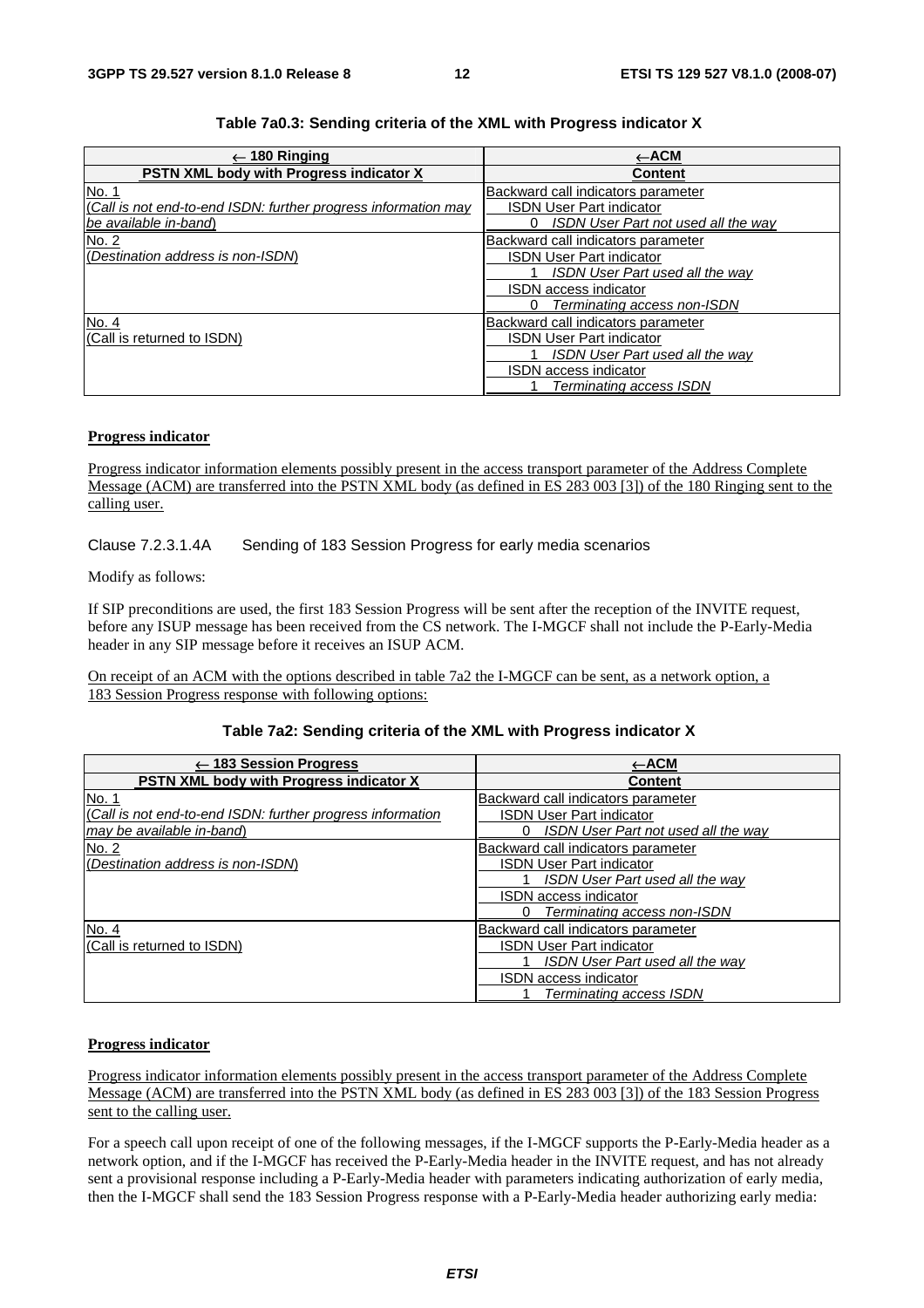| 180 Ringing                                                    | ←АСМ                                     |
|----------------------------------------------------------------|------------------------------------------|
| <b>PSTN XML body with Progress indicator X</b>                 | <b>Content</b>                           |
| No. 1                                                          | Backward call indicators parameter       |
| (Call is not end-to-end ISDN: further progress information may | ISDN User Part indicator                 |
| lbe available in-band\                                         | ISDN User Part not used all the way<br>0 |
| No. 2                                                          | Backward call indicators parameter       |
| (Destination address is non-ISDM)                              | <b>ISDN User Part indicator</b>          |
|                                                                | ISDN User Part used all the way          |
|                                                                | <b>ISDN</b> access indicator             |
|                                                                | Terminating access non-ISDN<br>0         |
| No. 4                                                          | Backward call indicators parameter       |
| I(Call is returned to ISDN)                                    | <b>ISDN User Part indicator</b>          |
|                                                                | ISDN User Part used all the way          |
|                                                                | <b>ISDN</b> access indicator             |
|                                                                | Terminating access ISDN                  |

#### **Table 7a0.3: Sending criteria of the XML with Progress indicator X**

#### **Progress indicator**

Progress indicator information elements possibly present in the access transport parameter of the Address Complete Message (ACM) are transferred into the PSTN XML body (as defined in ES 283 003 [3]) of the 180 Ringing sent to the calling user.

Clause 7.2.3.1.4A Sending of 183 Session Progress for early media scenarios

Modify as follows:

If SIP preconditions are used, the first 183 Session Progress will be sent after the reception of the INVITE request, before any ISUP message has been received from the CS network. The I-MGCF shall not include the P-Early-Media header in any SIP message before it receives an ISUP ACM.

On receipt of an ACM with the options described in table 7a2 the I-MGCF can be sent, as a network option, a 183 Session Progress response with following options:

#### **Table 7a2: Sending criteria of the XML with Progress indicator X**

| $\leftarrow$ 183 Session Progress                          | $\leftarrow$ ACM                       |
|------------------------------------------------------------|----------------------------------------|
| <b>PSTN XML body with Progress indicator X</b>             | <b>Content</b>                         |
| No. 1                                                      | Backward call indicators parameter     |
| (Call is not end-to-end ISDN: further progress information | <b>ISDN User Part indicator</b>        |
| may be available in-band)                                  | ISDN User Part not used all the way    |
| No. 2                                                      | Backward call indicators parameter     |
| (Destination address is non-ISDM)                          | <b>ISDN User Part indicator</b>        |
|                                                            | <b>ISDN User Part used all the way</b> |
|                                                            | ISDN access indicator                  |
|                                                            | Terminating access non-ISDN            |
| No. 4                                                      | Backward call indicators parameter     |
| (Call is returned to ISDN)                                 | <b>ISDN User Part indicator</b>        |
|                                                            | <b>ISDN User Part used all the way</b> |
|                                                            | ISDN access indicator                  |
|                                                            | Terminating access ISDN                |

#### **Progress indicator**

Progress indicator information elements possibly present in the access transport parameter of the Address Complete Message (ACM) are transferred into the PSTN XML body (as defined in ES 283 003 [3]) of the 183 Session Progress sent to the calling user.

For a speech call upon receipt of one of the following messages, if the I-MGCF supports the P-Early-Media header as a network option, and if the I-MGCF has received the P-Early-Media header in the INVITE request, and has not already sent a provisional response including a P-Early-Media header with parameters indicating authorization of early media, then the I-MGCF shall send the 183 Session Progress response with a P-Early-Media header authorizing early media: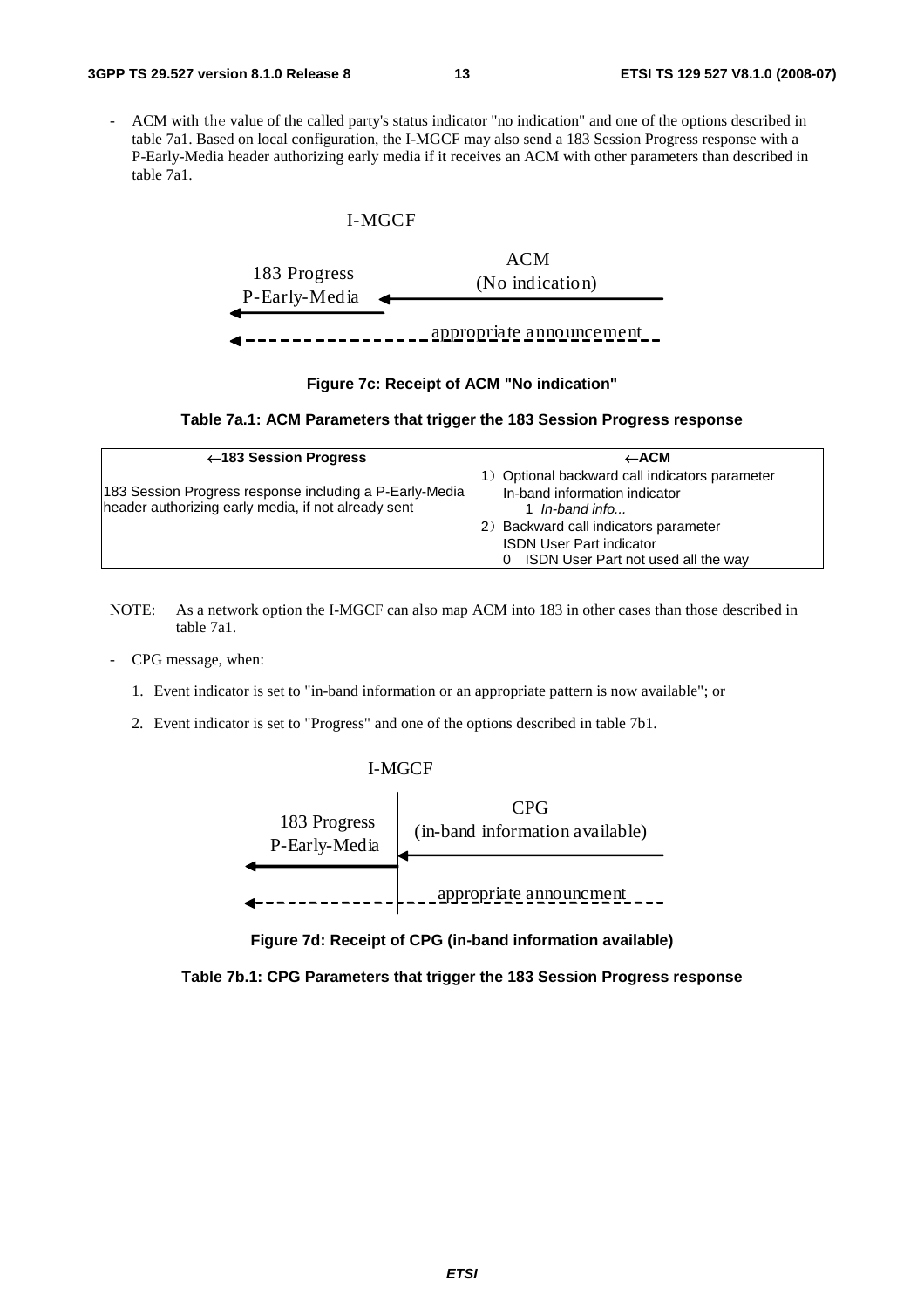- ACM with the value of the called party's status indicator "no indication" and one of the options described in table 7a1. Based on local configuration, the I-MGCF may also send a 183 Session Progress response with a P-Early-Media header authorizing early media if it receives an ACM with other parameters than described in table 7a1.

#### I-MGCF



#### **Figure 7c: Receipt of ACM "No indication"**

#### **Table 7a.1: ACM Parameters that trigger the 183 Session Progress response**

| ←183 Session Progress                                                                                          | $\leftarrow$ ACM                                                                                                                                                                                                      |
|----------------------------------------------------------------------------------------------------------------|-----------------------------------------------------------------------------------------------------------------------------------------------------------------------------------------------------------------------|
| 183 Session Progress response including a P-Early-Media<br>header authorizing early media, if not already sent | 1) Optional backward call indicators parameter<br>In-band information indicator<br>1 In-band info<br>(2) Backward call indicators parameter<br><b>ISDN User Part indicator</b><br>ISDN User Part not used all the way |

- NOTE: As a network option the I-MGCF can also map ACM into 183 in other cases than those described in table 7a1.
- CPG message, when:
	- 1. Event indicator is set to "in-band information or an appropriate pattern is now available"; or
	- 2. Event indicator is set to "Progress" and one of the options described in table 7b1.

#### I-MGCF



**Figure 7d: Receipt of CPG (in-band information available)** 

**Table 7b.1: CPG Parameters that trigger the 183 Session Progress response**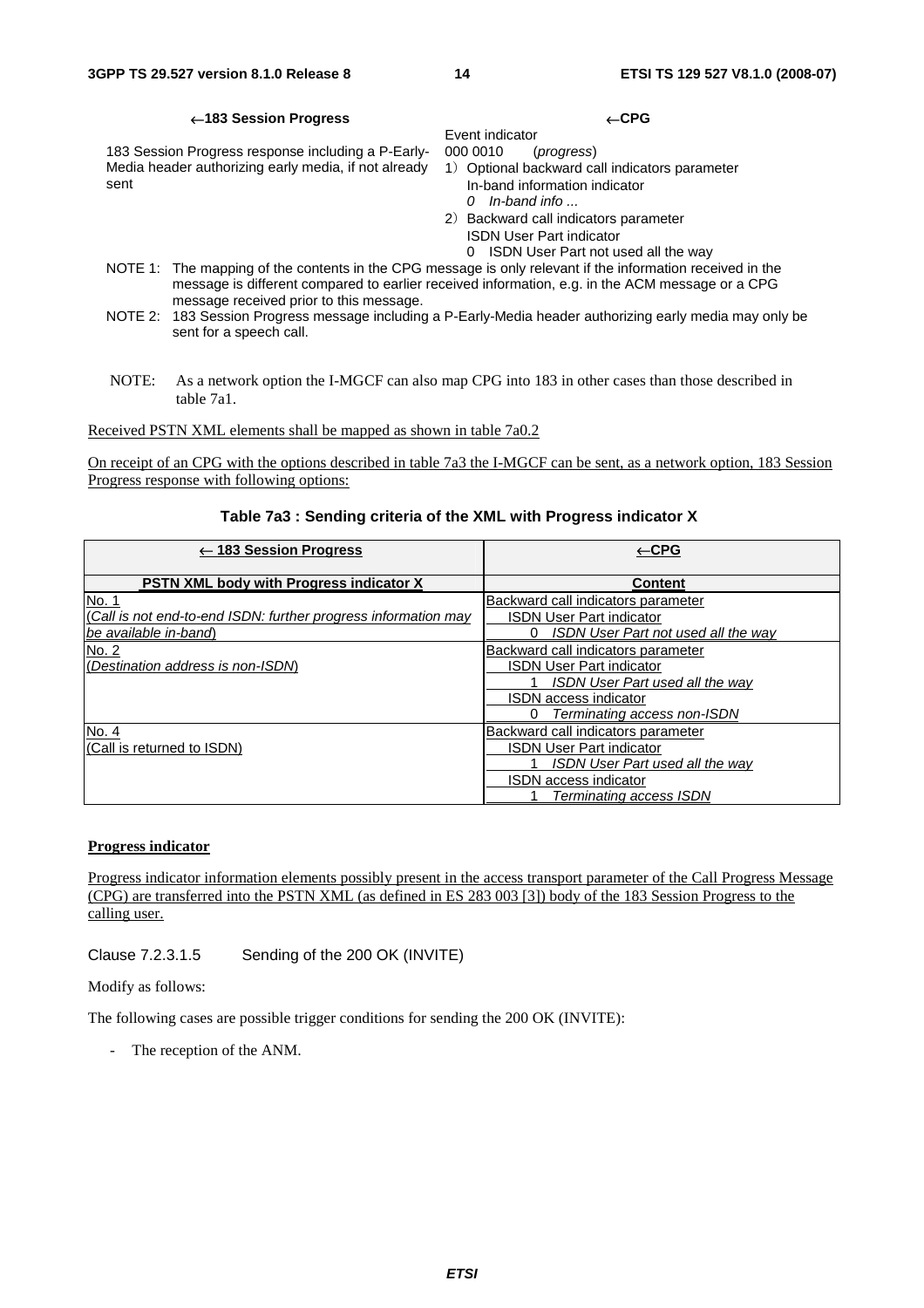#### ←**183 Session Progress** ←**CPG**

183 Session Progress response including a P-Early-Media header authorizing early media, if not already sent

Event indicator<br>000 0010 ( 000 0010 (*progress*)

- 1) Optional backward call indicators parameter In-band information indicator
	- *0 In-band info ...*
- 2) Backward call indicators parameter
	- ISDN User Part indicator 0 ISDN User Part not used all the way
- NOTE 1: The mapping of the contents in the CPG message is only relevant if the information received in the message is different compared to earlier received information, e.g. in the ACM message or a CPG message received prior to this message.
- NOTE 2: 183 Session Progress message including a P-Early-Media header authorizing early media may only be sent for a speech call.
- NOTE: As a network option the I-MGCF can also map CPG into 183 in other cases than those described in table 7a1.

Received PSTN XML elements shall be mapped as shown in table 7a0.2

On receipt of an CPG with the options described in table 7a3 the I-MGCF can be sent, as a network option, 183 Session Progress response with following options:

#### **Table 7a3 : Sending criteria of the XML with Progress indicator X**

| $\leftarrow$ 183 Session Progress                              | $\leftarrow$ CPG                         |
|----------------------------------------------------------------|------------------------------------------|
| <b>PSTN XML body with Progress indicator X</b>                 | <b>Content</b>                           |
| No. 1                                                          | Backward call indicators parameter       |
| (Call is not end-to-end ISDN: further progress information may | <b>ISDN User Part indicator</b>          |
| be available in-band)                                          | ISDN User Part not used all the way<br>0 |
| No. 2                                                          | Backward call indicators parameter       |
| (Destination address is non-ISDM)                              | <b>ISDN User Part indicator</b>          |
|                                                                | ISDN User Part used all the way          |
|                                                                | <b>ISDN</b> access indicator             |
|                                                                | Terminating access non-ISDN<br>0         |
| No. 4                                                          | Backward call indicators parameter       |
| (Call is returned to ISDN)                                     | <b>ISDN User Part indicator</b>          |
|                                                                | <b>ISDN User Part used all the way</b>   |
|                                                                | <b>ISDN</b> access indicator             |
|                                                                | Terminating access ISDN                  |

#### **Progress indicator**

Progress indicator information elements possibly present in the access transport parameter of the Call Progress Message (CPG) are transferred into the PSTN XML (as defined in ES 283 003 [3]) body of the 183 Session Progress to the calling user.

Clause 7.2.3.1.5 Sending of the 200 OK (INVITE)

Modify as follows:

The following cases are possible trigger conditions for sending the 200 OK (INVITE):

The reception of the ANM.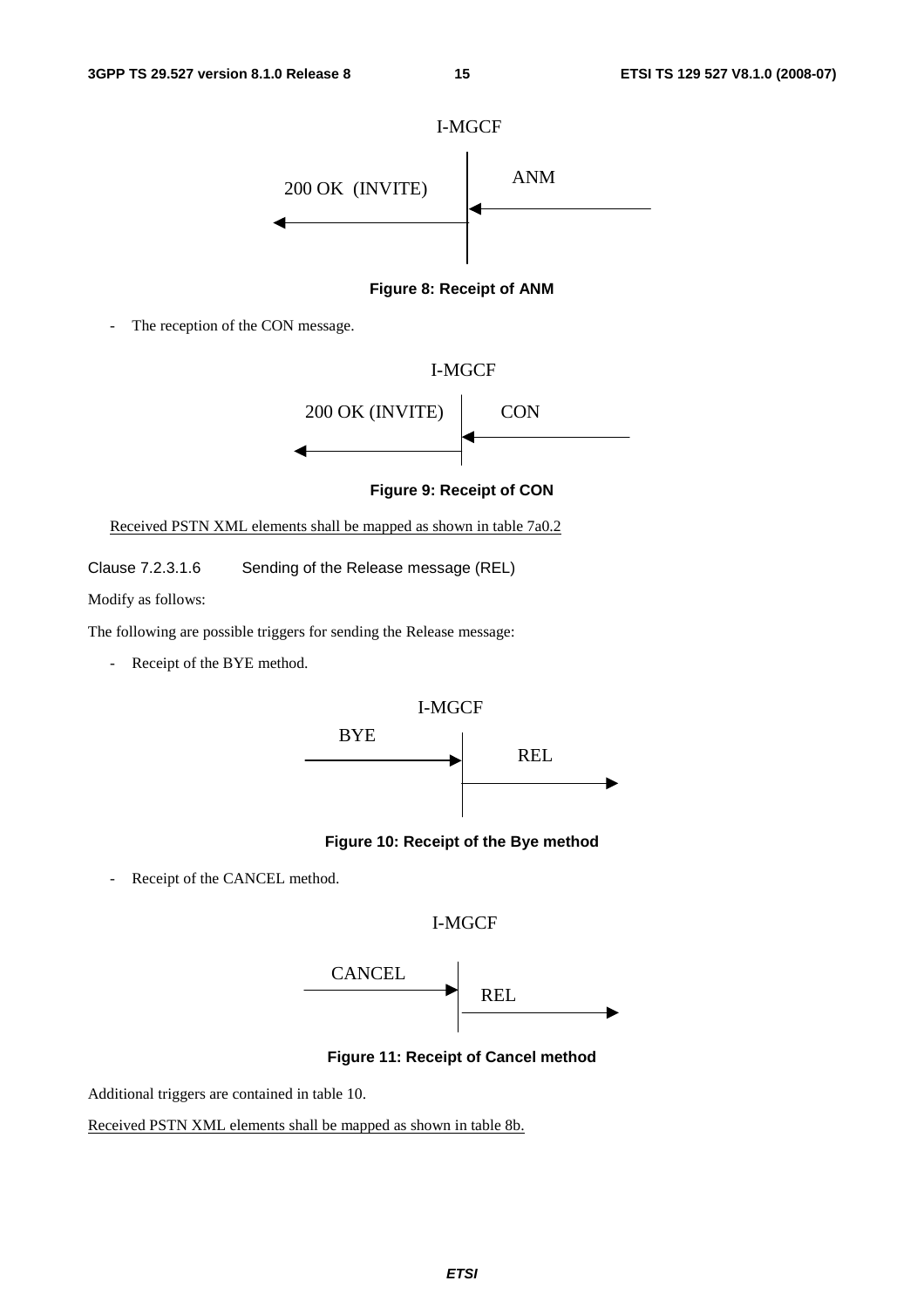



The reception of the CON message.





**Figure 9: Receipt of CON** 

Received PSTN XML elements shall be mapped as shown in table 7a0.2

Clause 7.2.3.1.6 Sending of the Release message (REL)

Modify as follows:

The following are possible triggers for sending the Release message:

- Receipt of the BYE method.



#### **Figure 10: Receipt of the Bye method**

Receipt of the CANCEL method.





**Figure 11: Receipt of Cancel method** 

Additional triggers are contained in table 10.

Received PSTN XML elements shall be mapped as shown in table 8b.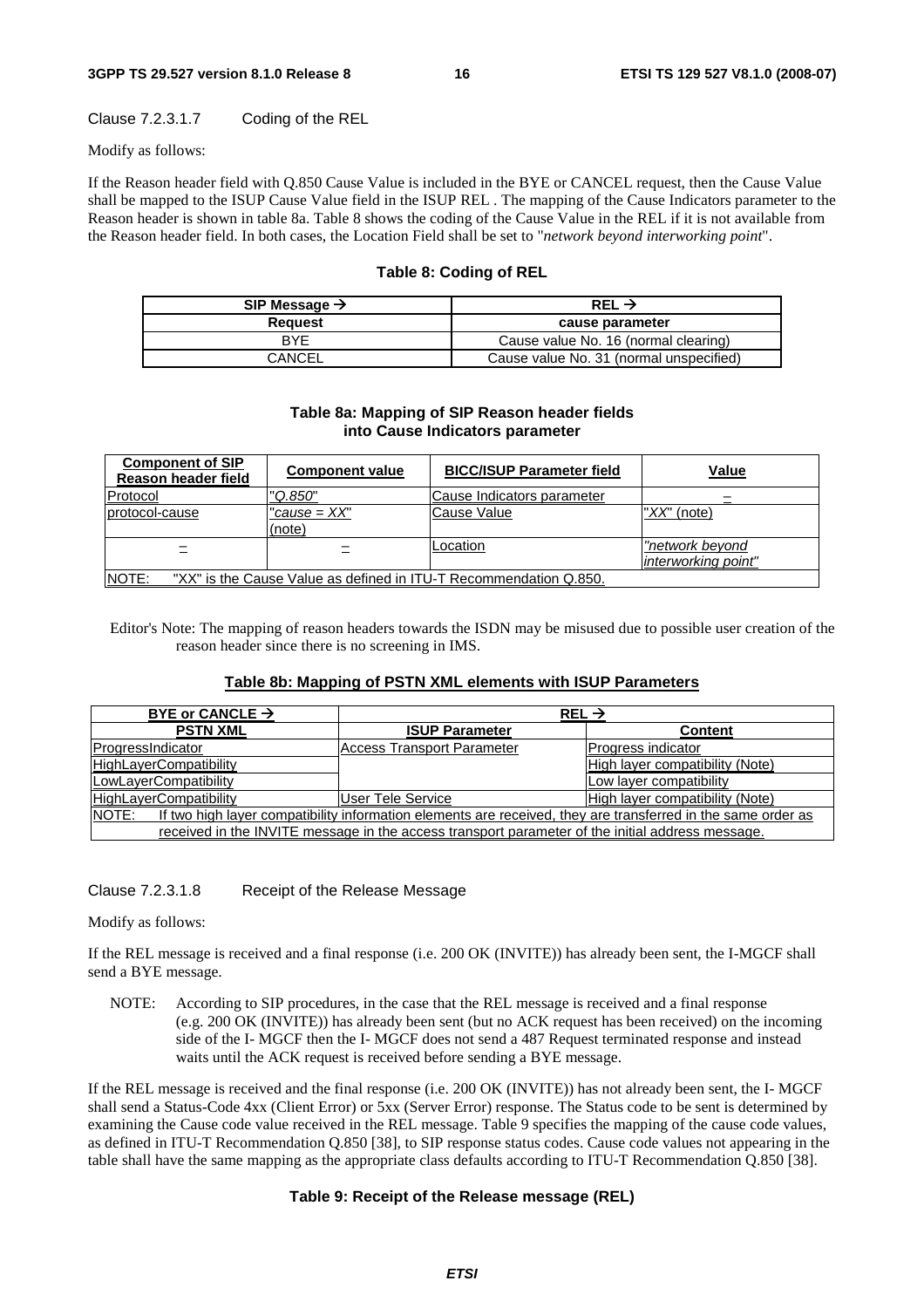#### Clause 7.2.3.1.7 Coding of the REL

Modify as follows:

If the Reason header field with Q.850 Cause Value is included in the BYE or CANCEL request, then the Cause Value shall be mapped to the ISUP Cause Value field in the ISUP REL . The mapping of the Cause Indicators parameter to the Reason header is shown in table 8a. Table 8 shows the coding of the Cause Value in the REL if it is not available from the Reason header field. In both cases, the Location Field shall be set to "*network beyond interworking point*".

#### **Table 8: Coding of REL**

| SIP Message $\rightarrow$ | REL $\rightarrow$                       |
|---------------------------|-----------------------------------------|
| Reauest                   | cause parameter                         |
| RYF                       | Cause value No. 16 (normal clearing)    |
| CANCEL                    | Cause value No. 31 (normal unspecified) |

#### **Table 8a: Mapping of SIP Reason header fields into Cause Indicators parameter**

| <b>Component of SIP</b><br>Reason header field                                    | <b>Component value</b>   | <b>BICC/ISUP Parameter field</b> | Value                                         |
|-----------------------------------------------------------------------------------|--------------------------|----------------------------------|-----------------------------------------------|
| Protocol                                                                          | "Q.850"                  | Cause Indicators parameter       |                                               |
| protocol-cause                                                                    | "cause = $XX"$<br>(note) | Cause Value                      | "XX" (note)                                   |
|                                                                                   |                          | Location                         | <u>"network beyond</u><br>interworking point" |
| <b>NOTE:</b><br>"XX" is the Cause Value as defined in ITU-T Recommendation Q.850. |                          |                                  |                                               |

Editor's Note: The mapping of reason headers towards the ISDN may be misused due to possible user creation of the reason header since there is no screening in IMS.

#### **Table 8b: Mapping of PSTN XML elements with ISUP Parameters**

| BYE or CANCLE $\rightarrow$                                                                                            | REL $\rightarrow$                                                                                |                                 |
|------------------------------------------------------------------------------------------------------------------------|--------------------------------------------------------------------------------------------------|---------------------------------|
| <b>PSTN XML</b>                                                                                                        | <b>ISUP Parameter</b>                                                                            | <b>Content</b>                  |
| ProgressIndicator                                                                                                      | Access Transport Parameter                                                                       | Progress indicator              |
| <b>HighLayerCompatibility</b>                                                                                          |                                                                                                  | High layer compatibility (Note) |
| LowLayerCompatibility                                                                                                  |                                                                                                  | Low layer compatibility         |
| <b>HighLayerCompatibility</b>                                                                                          | IUser Tele Service                                                                               | High layer compatibility (Note) |
| INOTE:<br>If two high layer compatibility information elements are received, they are transferred in the same order as |                                                                                                  |                                 |
|                                                                                                                        | received in the INVITE message in the access transport parameter of the initial address message. |                                 |

#### Clause 7.2.3.1.8 Receipt of the Release Message

Modify as follows:

If the REL message is received and a final response (i.e. 200 OK (INVITE)) has already been sent, the I-MGCF shall send a BYE message.

NOTE: According to SIP procedures, in the case that the REL message is received and a final response (e.g. 200 OK (INVITE)) has already been sent (but no ACK request has been received) on the incoming side of the I- MGCF then the I- MGCF does not send a 487 Request terminated response and instead waits until the ACK request is received before sending a BYE message.

If the REL message is received and the final response (i.e. 200 OK (INVITE)) has not already been sent, the I- MGCF shall send a Status-Code 4xx (Client Error) or 5xx (Server Error) response. The Status code to be sent is determined by examining the Cause code value received in the REL message. Table 9 specifies the mapping of the cause code values, as defined in ITU-T Recommendation Q.850 [38], to SIP response status codes. Cause code values not appearing in the table shall have the same mapping as the appropriate class defaults according to ITU-T Recommendation Q.850 [38].

#### **Table 9: Receipt of the Release message (REL)**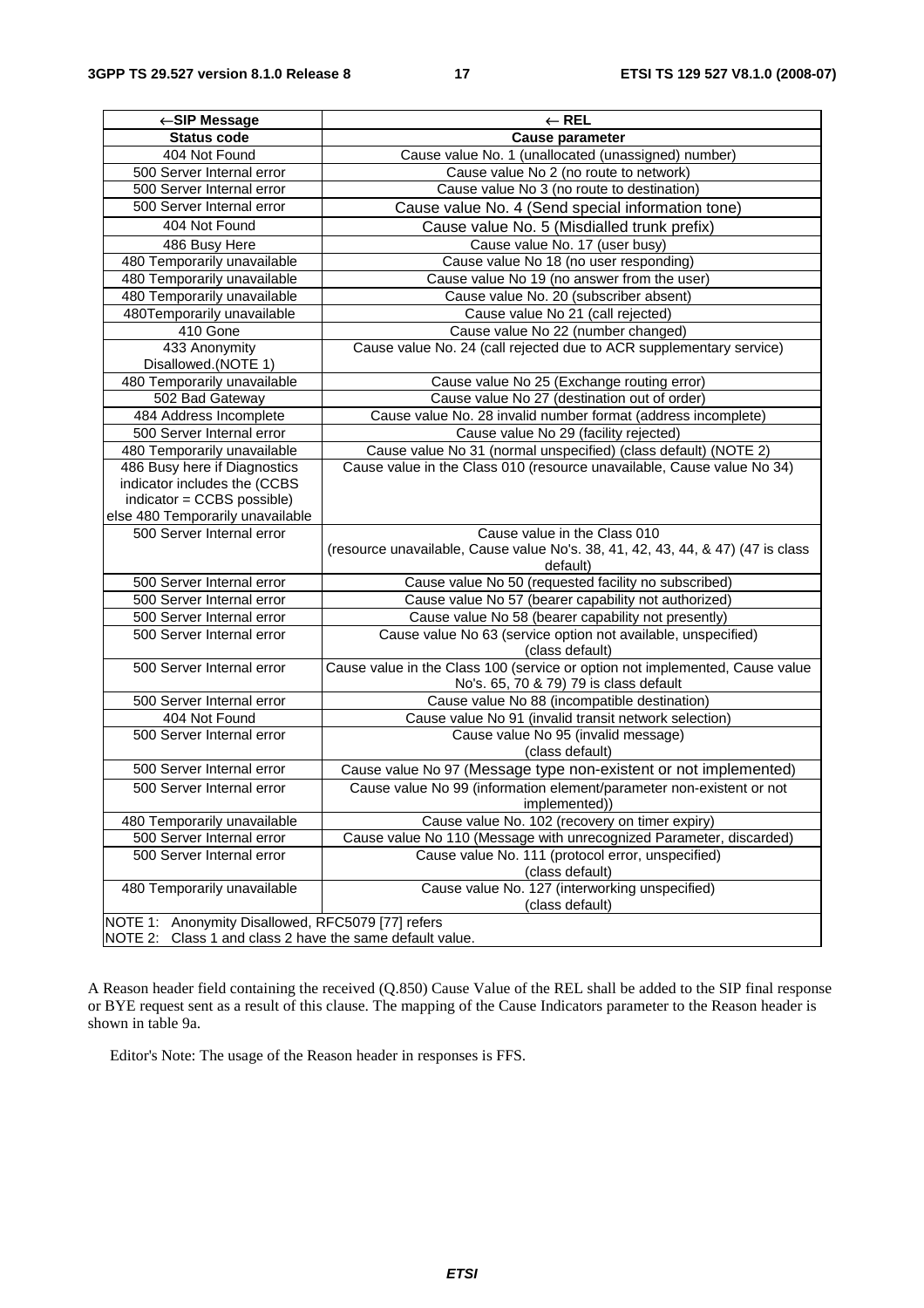| ←SIP Message                                                                                                                   | $\leftarrow$ REL                                                                                                            |  |
|--------------------------------------------------------------------------------------------------------------------------------|-----------------------------------------------------------------------------------------------------------------------------|--|
| <b>Status code</b>                                                                                                             | <b>Cause parameter</b>                                                                                                      |  |
| 404 Not Found                                                                                                                  | Cause value No. 1 (unallocated (unassigned) number)                                                                         |  |
| 500 Server Internal error                                                                                                      | Cause value No 2 (no route to network)                                                                                      |  |
| 500 Server Internal error                                                                                                      | Cause value No 3 (no route to destination)                                                                                  |  |
| 500 Server Internal error                                                                                                      | Cause value No. 4 (Send special information tone)                                                                           |  |
| 404 Not Found                                                                                                                  | Cause value No. 5 (Misdialled trunk prefix)                                                                                 |  |
| 486 Busy Here                                                                                                                  | Cause value No. 17 (user busy)                                                                                              |  |
| 480 Temporarily unavailable                                                                                                    | Cause value No 18 (no user responding)                                                                                      |  |
| 480 Temporarily unavailable                                                                                                    | Cause value No 19 (no answer from the user)                                                                                 |  |
| 480 Temporarily unavailable                                                                                                    | Cause value No. 20 (subscriber absent)                                                                                      |  |
| 480Temporarily unavailable                                                                                                     | Cause value No 21 (call rejected)                                                                                           |  |
| 410 Gone                                                                                                                       | Cause value No 22 (number changed)                                                                                          |  |
| 433 Anonymity<br>Disallowed.(NOTE 1)                                                                                           | Cause value No. 24 (call rejected due to ACR supplementary service)                                                         |  |
| 480 Temporarily unavailable                                                                                                    | Cause value No 25 (Exchange routing error)                                                                                  |  |
| 502 Bad Gateway                                                                                                                | Cause value No 27 (destination out of order)                                                                                |  |
| 484 Address Incomplete                                                                                                         | Cause value No. 28 invalid number format (address incomplete)                                                               |  |
| 500 Server Internal error                                                                                                      | Cause value No 29 (facility rejected)                                                                                       |  |
| 480 Temporarily unavailable                                                                                                    | Cause value No 31 (normal unspecified) (class default) (NOTE 2)                                                             |  |
| 486 Busy here if Diagnostics<br>indicator includes the (CCBS<br>indicator = CCBS possible)<br>else 480 Temporarily unavailable | Cause value in the Class 010 (resource unavailable, Cause value No 34)                                                      |  |
| 500 Server Internal error                                                                                                      | Cause value in the Class 010<br>(resource unavailable, Cause value No's. 38, 41, 42, 43, 44, & 47) (47 is class<br>default) |  |
| 500 Server Internal error                                                                                                      | Cause value No 50 (requested facility no subscribed)                                                                        |  |
| 500 Server Internal error                                                                                                      | Cause value No 57 (bearer capability not authorized)                                                                        |  |
| 500 Server Internal error                                                                                                      | Cause value No 58 (bearer capability not presently)                                                                         |  |
| 500 Server Internal error                                                                                                      | Cause value No 63 (service option not available, unspecified)<br>(class default)                                            |  |
| 500 Server Internal error                                                                                                      | Cause value in the Class 100 (service or option not implemented, Cause value<br>No's. 65, 70 & 79) 79 is class default      |  |
| 500 Server Internal error                                                                                                      | Cause value No 88 (incompatible destination)                                                                                |  |
| 404 Not Found                                                                                                                  | Cause value No 91 (invalid transit network selection)                                                                       |  |
| 500 Server Internal error                                                                                                      | Cause value No 95 (invalid message)<br>(class default)                                                                      |  |
| 500 Server Internal error                                                                                                      | Cause value No 97 (Message type non-existent or not implemented)                                                            |  |
| 500 Server Internal error                                                                                                      | Cause value No 99 (information element/parameter non-existent or not<br>implemented))                                       |  |
| 480 Temporarily unavailable                                                                                                    | Cause value No. 102 (recovery on timer expiry)                                                                              |  |
| 500 Server Internal error                                                                                                      | Cause value No 110 (Message with unrecognized Parameter, discarded)                                                         |  |
| 500 Server Internal error                                                                                                      | Cause value No. 111 (protocol error, unspecified)<br>(class default)                                                        |  |
| 480 Temporarily unavailable                                                                                                    | Cause value No. 127 (interworking unspecified)<br>(class default)                                                           |  |
| NOTE 1: Anonymity Disallowed, RFC5079 [77] refers<br>NOTE 2:<br>Class 1 and class 2 have the same default value.               |                                                                                                                             |  |

A Reason header field containing the received (Q.850) Cause Value of the REL shall be added to the SIP final response or BYE request sent as a result of this clause. The mapping of the Cause Indicators parameter to the Reason header is shown in table 9a.

Editor's Note: The usage of the Reason header in responses is FFS.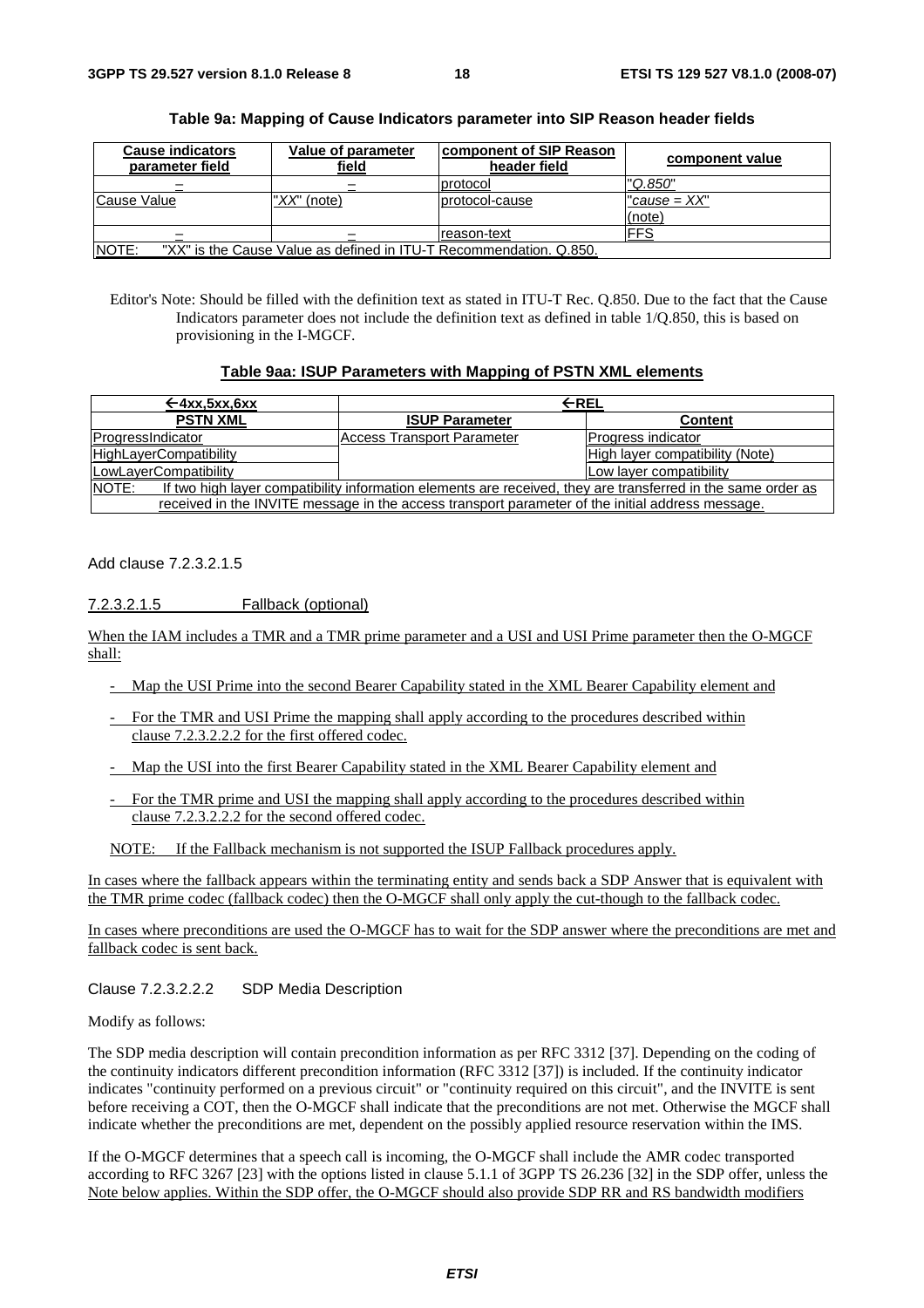| <b>Cause indicators</b><br>parameter field | Value of parameter<br>field                                        | <b>component of SIP Reason</b><br>header field | component value          |
|--------------------------------------------|--------------------------------------------------------------------|------------------------------------------------|--------------------------|
|                                            |                                                                    | protocol                                       | "Q.850"                  |
| Cause Value                                | "XX" (note)                                                        | protocol-cause                                 | $"cause = XX"$<br>(note) |
|                                            |                                                                    | reason-text                                    | <b>IFFS</b>              |
| NOTE:                                      | "XX" is the Cause Value as defined in ITU-T Recommendation. Q.850. |                                                |                          |

#### **Table 9a: Mapping of Cause Indicators parameter into SIP Reason header fields**

Editor's Note: Should be filled with the definition text as stated in ITU-T Rec. Q.850. Due to the fact that the Cause Indicators parameter does not include the definition text as defined in table 1/Q.850, this is based on provisioning in the I-MGCF.

#### **Table 9aa: ISUP Parameters with Mapping of PSTN XML elements**

| ←4xx.5xx.6xx                                                                                                                 | $\leftarrow$ REL                  |                                 |
|------------------------------------------------------------------------------------------------------------------------------|-----------------------------------|---------------------------------|
| <b>PSTN XML</b>                                                                                                              | <b>ISUP Parameter</b>             | <b>Content</b>                  |
| ProgressIndicator                                                                                                            | <b>Access Transport Parameter</b> | <b>Progress indicator</b>       |
| <b>HighLayerCompatibility</b>                                                                                                |                                   | High layer compatibility (Note) |
| LowLayerCompatibility                                                                                                        |                                   | Low layer compatibility         |
| <b>NOTE:</b><br>If two high layer compatibility information elements are received, they are transferred in the same order as |                                   |                                 |
| received in the INVITE message in the access transport parameter of the initial address message.                             |                                   |                                 |

Add clause 7.2.3.2.1.5

7.2.3.2.1.5 Fallback (optional)

When the IAM includes a TMR and a TMR prime parameter and a USI and USI Prime parameter then the O-MGCF shall:

- Map the USI Prime into the second Bearer Capability stated in the XML Bearer Capability element and
- For the TMR and USI Prime the mapping shall apply according to the procedures described within clause 7.2.3.2.2.2 for the first offered codec.
- Map the USI into the first Bearer Capability stated in the XML Bearer Capability element and
- For the TMR prime and USI the mapping shall apply according to the procedures described within clause 7.2.3.2.2.2 for the second offered codec.

NOTE: If the Fallback mechanism is not supported the ISUP Fallback procedures apply.

In cases where the fallback appears within the terminating entity and sends back a SDP Answer that is equivalent with the TMR prime codec (fallback codec) then the O-MGCF shall only apply the cut-though to the fallback codec.

In cases where preconditions are used the O-MGCF has to wait for the SDP answer where the preconditions are met and fallback codec is sent back.

#### Clause 7.2.3.2.2.2 SDP Media Description

#### Modify as follows:

The SDP media description will contain precondition information as per RFC 3312 [37]. Depending on the coding of the continuity indicators different precondition information (RFC 3312 [37]) is included. If the continuity indicator indicates "continuity performed on a previous circuit" or "continuity required on this circuit", and the INVITE is sent before receiving a COT, then the O-MGCF shall indicate that the preconditions are not met. Otherwise the MGCF shall indicate whether the preconditions are met, dependent on the possibly applied resource reservation within the IMS.

If the O-MGCF determines that a speech call is incoming, the O-MGCF shall include the AMR codec transported according to RFC 3267 [23] with the options listed in clause 5.1.1 of 3GPP TS 26.236 [32] in the SDP offer, unless the Note below applies. Within the SDP offer, the O-MGCF should also provide SDP RR and RS bandwidth modifiers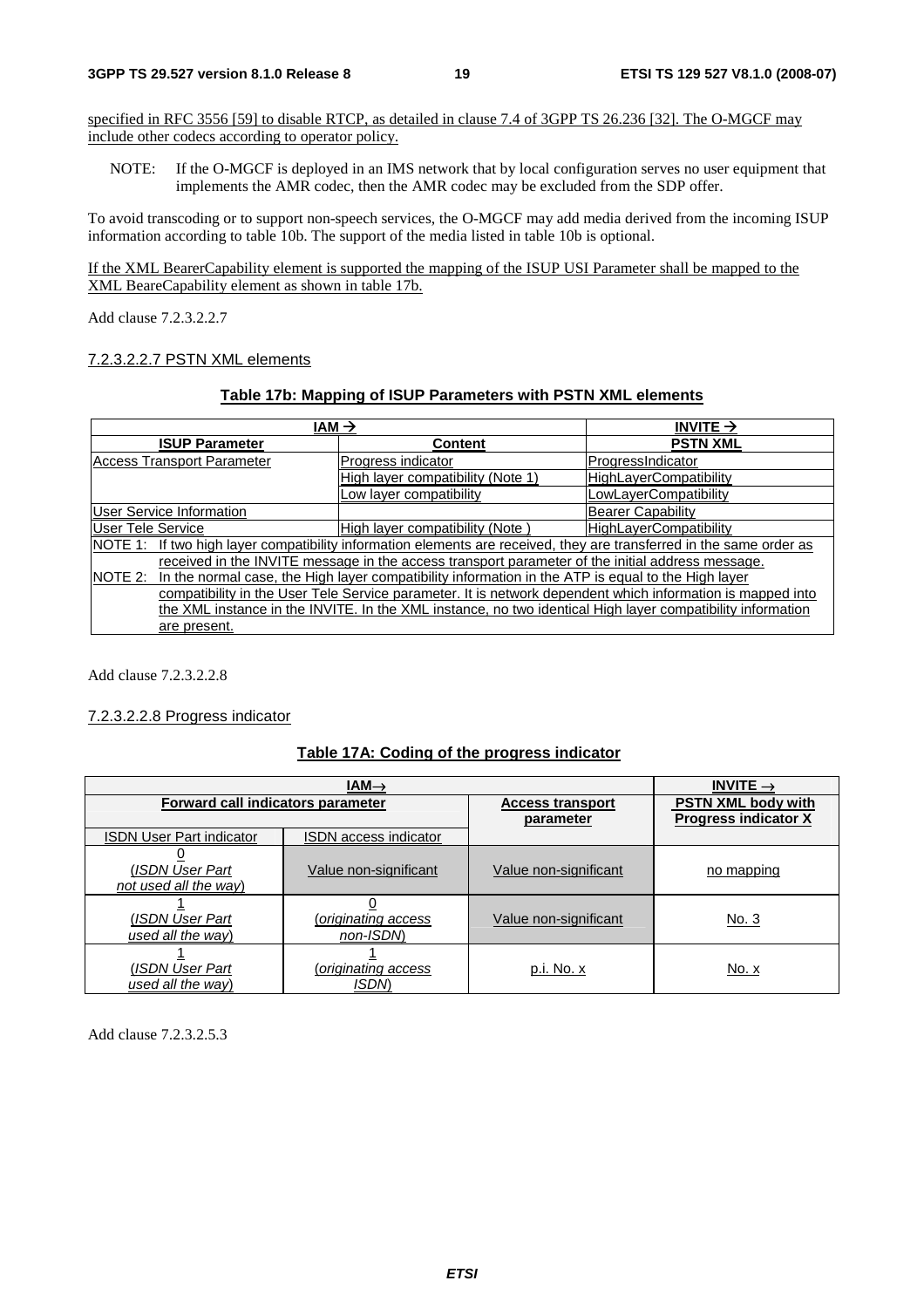specified in RFC 3556 [59] to disable RTCP, as detailed in clause 7.4 of 3GPP TS 26.236 [32]. The O-MGCF may include other codecs according to operator policy.

NOTE: If the O-MGCF is deployed in an IMS network that by local configuration serves no user equipment that implements the AMR codec, then the AMR codec may be excluded from the SDP offer.

To avoid transcoding or to support non-speech services, the O-MGCF may add media derived from the incoming ISUP information according to table 10b. The support of the media listed in table 10b is optional.

If the XML BearerCapability element is supported the mapping of the ISUP USI Parameter shall be mapped to the XML BeareCapability element as shown in table 17b.

Add clause 7.2.3.2.2.7

#### 7.2.3.2.2.7 PSTN XML elements

#### **Table 17b: Mapping of ISUP Parameters with PSTN XML elements**

| IAM $\rightarrow$                                                                                             |                                                                                                                      | INVITE $\rightarrow$          |
|---------------------------------------------------------------------------------------------------------------|----------------------------------------------------------------------------------------------------------------------|-------------------------------|
| <b>ISUP Parameter</b>                                                                                         | Content                                                                                                              | <b>PSTN XML</b>               |
| <b>Access Transport Parameter</b>                                                                             | Progress indicator                                                                                                   | ProgressIndicator             |
|                                                                                                               | High layer compatibility (Note 1)                                                                                    | <b>HighLayerCompatibility</b> |
|                                                                                                               | Low layer compatibility                                                                                              | LowLayerCompatibility         |
| <b>User Service Information</b>                                                                               |                                                                                                                      | <b>Bearer Capability</b>      |
| User Tele Service                                                                                             | High layer compatibility (Note)                                                                                      | <b>HighLayerCompatibility</b> |
|                                                                                                               | NOTE 1: If two high layer compatibility information elements are received, they are transferred in the same order as |                               |
| received in the INVITE message in the access transport parameter of the initial address message.              |                                                                                                                      |                               |
| In the normal case, the High layer compatibility information in the ATP is equal to the High layer<br>NOTE 2: |                                                                                                                      |                               |
| compatibility in the User Tele Service parameter. It is network dependent which information is mapped into    |                                                                                                                      |                               |
| the XML instance in the INVITE. In the XML instance, no two identical High layer compatibility information    |                                                                                                                      |                               |
| are present.                                                                                                  |                                                                                                                      |                               |

Add clause 7.2.3.2.2.8

#### 7.2.3.2.2.8 Progress indicator

#### **Table 17A: Coding of the progress indicator**

| $IAM\rightarrow$                         |                                    |                         | INVITE $\rightarrow$        |
|------------------------------------------|------------------------------------|-------------------------|-----------------------------|
| Forward call indicators parameter        |                                    | <b>Access transport</b> | <b>PSTN XML body with</b>   |
| <b>ISDN User Part indicator</b>          | <b>ISDN</b> access indicator       | parameter               | <b>Progress indicator X</b> |
|                                          |                                    |                         |                             |
| (ISDN User Part<br>not used all the way) | Value non-significant              | Value non-significant   | no mapping                  |
| (ISDN User Part<br>used all the way)     | (originating access<br>non-ISDN    | Value non-significant   | <u>No. 3</u>                |
| (ISDN User Part<br>used all the way)     | (originating access<br><b>ISDM</b> | p.i. No. x              | No. x                       |

Add clause 7.2.3.2.5.3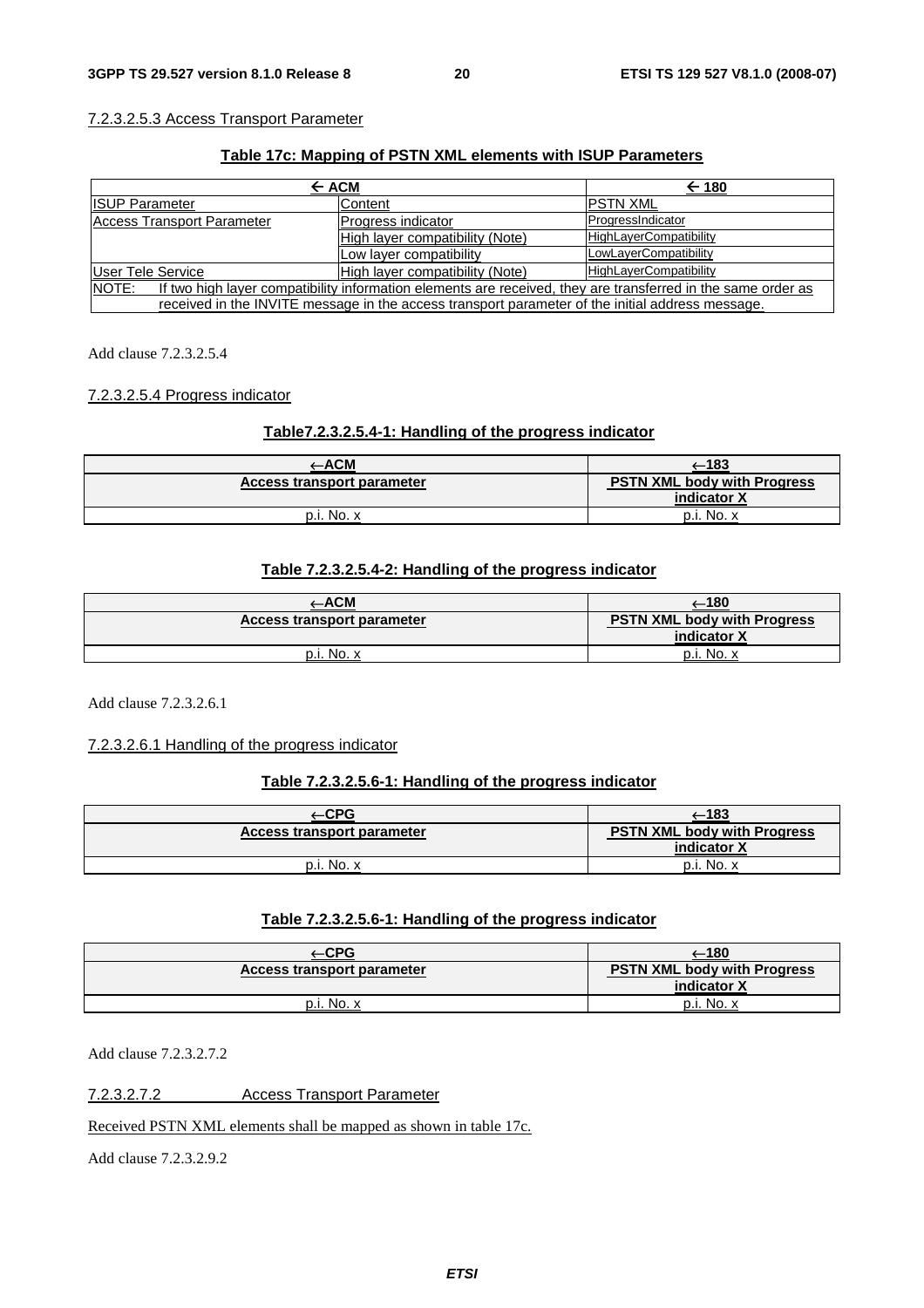#### 7.2.3.2.5.3 Access Transport Parameter

#### **Table 17c: Mapping of PSTN XML elements with ISUP Parameters**

| $\leftarrow$ ACM                                                                                                             |                                 | $\leftarrow$ 180              |
|------------------------------------------------------------------------------------------------------------------------------|---------------------------------|-------------------------------|
| <b>ISUP Parameter</b>                                                                                                        | Content                         | <b>IPSTN XML</b>              |
| Access Transport Parameter                                                                                                   | Progress indicator              | ProgressIndicator             |
|                                                                                                                              | High layer compatibility (Note) | <b>HighLayerCompatibility</b> |
|                                                                                                                              | Low layer compatibility         | LowLayerCompatibility         |
| User Tele Service                                                                                                            | High layer compatibility (Note) | <b>HighLayerCompatibility</b> |
| <b>NOTE:</b><br>If two high layer compatibility information elements are received, they are transferred in the same order as |                                 |                               |
| received in the INVITE message in the access transport parameter of the initial address message.                             |                                 |                               |

Add clause 7.2.3.2.5.4

#### 7.2.3.2.5.4 Progress indicator

#### **Table7.2.3.2.5.4-1: Handling of the progress indicator**

| -ACM                       | —183                                              |
|----------------------------|---------------------------------------------------|
| Access transport parameter | <b>PSTN XML body with Progress</b><br>indicator X |
| p.i. No. x                 | p.i. No.                                          |

### **Table 7.2.3.2.5.4-2: Handling of the progress indicator**

| ⊢АСМ                       | ⊶180                                              |
|----------------------------|---------------------------------------------------|
| Access transport parameter | <b>PSTN XML body with Progress</b><br>indicator X |
| p.i. No. x                 | p.i. No. x                                        |

Add clause 7.2.3.2.6.1

#### 7.2.3.2.6.1 Handling of the progress indicator

#### **Table 7.2.3.2.5.6-1: Handling of the progress indicator**

| $-CPG$                     | —183                                              |
|----------------------------|---------------------------------------------------|
| Access transport parameter | <b>PSTN XML body with Progress</b><br>indicator X |
| p.i. No. x                 | p.i. No. x                                        |

#### **Table 7.2.3.2.5.6-1: Handling of the progress indicator**

|                            | –180                                                     |
|----------------------------|----------------------------------------------------------|
| Access transport parameter | <b>PSTN XML body with Progress</b><br>indicator <b>X</b> |
| No.                        | p.i. No.                                                 |

Add clause 7.2.3.2.7.2

7.2.3.2.7.2 Access Transport Parameter

Received PSTN XML elements shall be mapped as shown in table 17c.

Add clause 7.2.3.2.9.2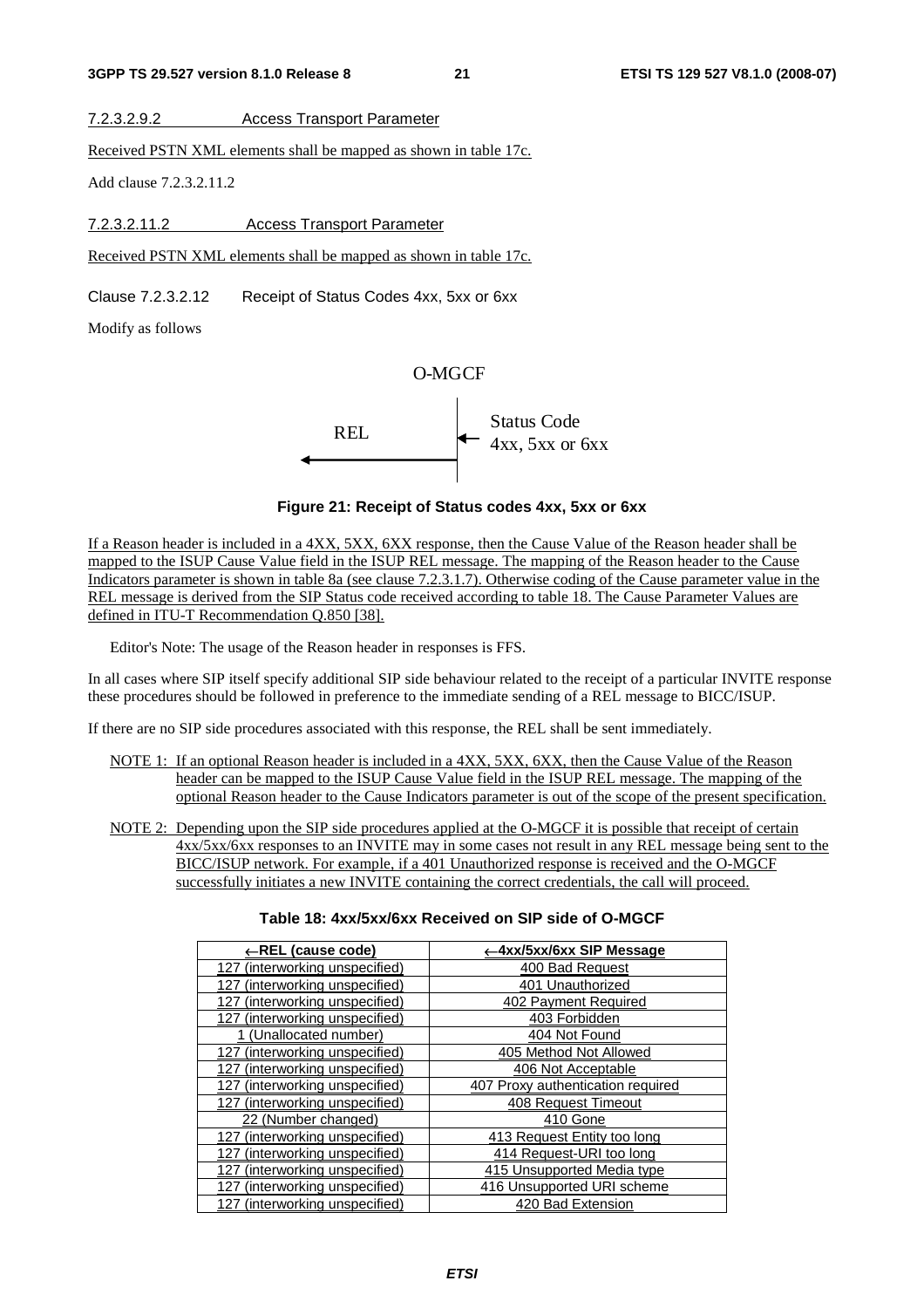7.2.3.2.9.2 Access Transport Parameter

Received PSTN XML elements shall be mapped as shown in table 17c.

Add clause 7.2.3.2.11.2

7.2.3.2.11.2 Access Transport Parameter

Received PSTN XML elements shall be mapped as shown in table 17c.

Clause 7.2.3.2.12 Receipt of Status Codes 4xx, 5xx or 6xx

Modify as follows

### O-MGCF



#### **Figure 21: Receipt of Status codes 4xx, 5xx or 6xx**

If a Reason header is included in a 4XX, 5XX, 6XX response, then the Cause Value of the Reason header shall be mapped to the ISUP Cause Value field in the ISUP REL message. The mapping of the Reason header to the Cause Indicators parameter is shown in table 8a (see clause 7.2.3.1.7). Otherwise coding of the Cause parameter value in the REL message is derived from the SIP Status code received according to table 18. The Cause Parameter Values are defined in ITU-T Recommendation Q.850 [38].

Editor's Note: The usage of the Reason header in responses is FFS.

In all cases where SIP itself specify additional SIP side behaviour related to the receipt of a particular INVITE response these procedures should be followed in preference to the immediate sending of a REL message to BICC/ISUP.

If there are no SIP side procedures associated with this response, the REL shall be sent immediately.

- NOTE 1: If an optional Reason header is included in a 4XX, 5XX, 6XX, then the Cause Value of the Reason header can be mapped to the ISUP Cause Value field in the ISUP REL message. The mapping of the optional Reason header to the Cause Indicators parameter is out of the scope of the present specification.
- NOTE 2: Depending upon the SIP side procedures applied at the O-MGCF it is possible that receipt of certain 4xx/5xx/6xx responses to an INVITE may in some cases not result in any REL message being sent to the BICC/ISUP network. For example, if a 401 Unauthorized response is received and the O-MGCF successfully initiates a new INVITE containing the correct credentials, the call will proceed.

#### **Table 18: 4xx/5xx/6xx Received on SIP side of O-MGCF**

| ←REL (cause code)                 | ←4xx/5xx/6xx SIP Message          |
|-----------------------------------|-----------------------------------|
| 127 (interworking unspecified)    | 400 Bad Request                   |
| 127 (interworking unspecified)    | 401 Unauthorized                  |
| 127 (interworking unspecified)    | 402 Payment Required              |
| 127 (interworking unspecified)    | 403 Forbidden                     |
| 1 (Unallocated number)            | 404 Not Found                     |
| 127 (interworking unspecified)    | 405 Method Not Allowed            |
| 127 (interworking unspecified)    | 406 Not Acceptable                |
| 127 (interworking unspecified)    | 407 Proxy authentication required |
| 127 (interworking unspecified)    | 408 Request Timeout               |
| 22 (Number changed)               | 410 Gone                          |
| (interworking unspecified)<br>127 | 413 Request Entity too long       |
| (interworking unspecified)<br>127 | 414 Request-URI too long          |
| 127 (interworking unspecified)    | 415 Unsupported Media type        |
| (interworking unspecified)<br>127 | 416 Unsupported URI scheme        |
| 127 (interworking unspecified)    | 420 Bad Extension                 |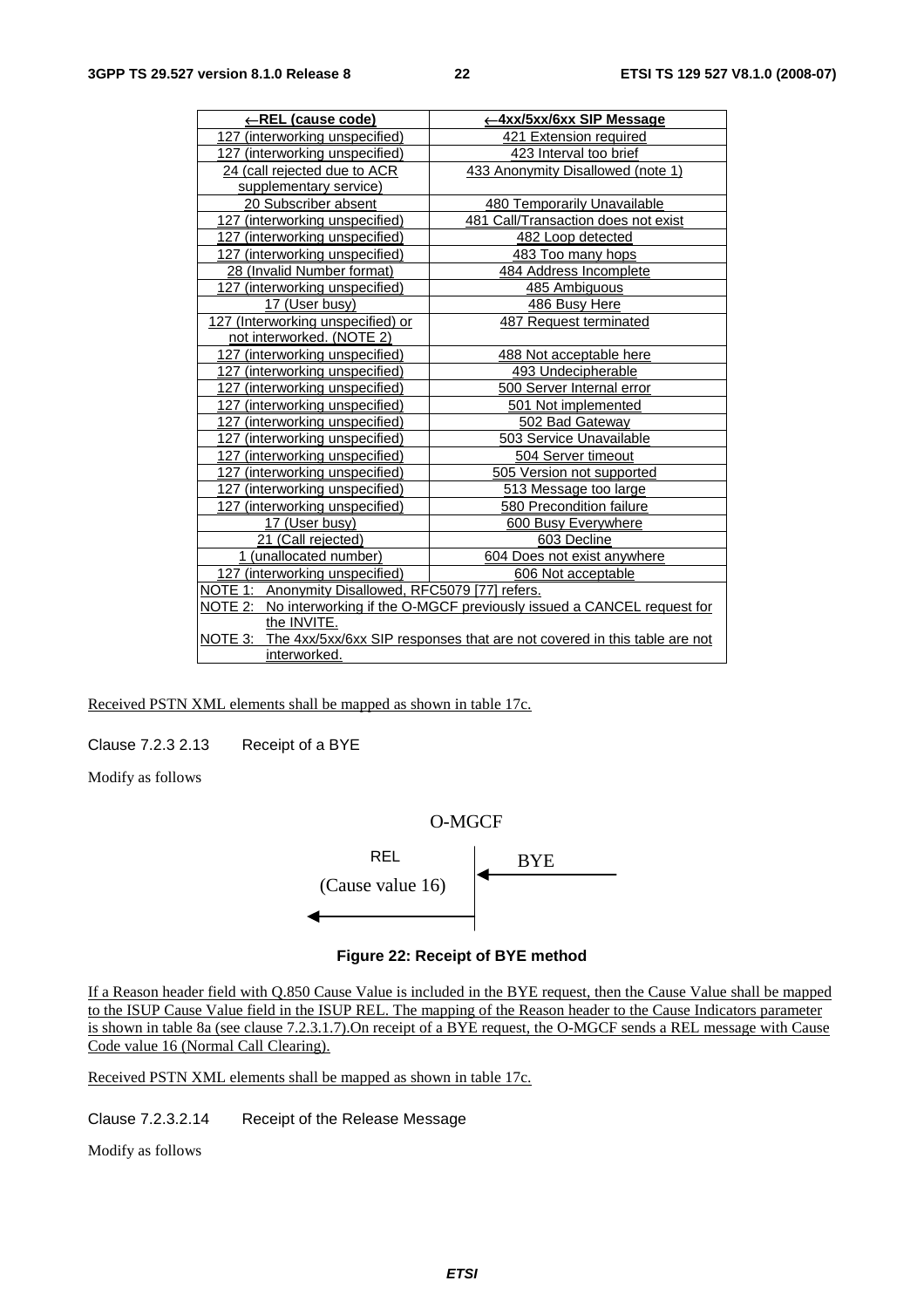| ←REL (cause code)                                  | ← 4xx/5xx/6xx SIP Message                                                        |
|----------------------------------------------------|----------------------------------------------------------------------------------|
| 127 (interworking unspecified)                     | 421 Extension required                                                           |
| 127 (interworking unspecified)                     | 423 Interval too brief                                                           |
| 24 (call rejected due to ACR                       | 433 Anonymity Disallowed (note 1)                                                |
| supplementary service)                             |                                                                                  |
| 20 Subscriber absent                               | 480 Temporarily Unavailable                                                      |
| 127 (interworking unspecified)                     | 481 Call/Transaction does not exist                                              |
| 127 (interworking unspecified)                     | 482 Loop detected                                                                |
| 127 (interworking unspecified)                     | 483 Too many hops                                                                |
| 28 (Invalid Number format)                         | 484 Address Incomplete                                                           |
| 127 (interworking unspecified)                     | 485 Ambiguous                                                                    |
| 17 (User busy)                                     | 486 Busy Here                                                                    |
| 127 (Interworking unspecified) or                  | 487 Request terminated                                                           |
| not interworked. (NOTE 2)                          |                                                                                  |
| 127 (interworking unspecified)                     | 488 Not acceptable here                                                          |
| 127 (interworking unspecified)                     | 493 Undecipherable                                                               |
| 127 (interworking unspecified)                     | 500 Server Internal error                                                        |
| 127 (interworking unspecified)                     | 501 Not implemented                                                              |
| 127 (interworking unspecified)                     | 502 Bad Gateway                                                                  |
| 127 (interworking unspecified)                     | 503 Service Unavailable                                                          |
| 127 (interworking unspecified)                     | 504 Server timeout                                                               |
| 127 (interworking unspecified)                     | 505 Version not supported                                                        |
| 127 (interworking unspecified)                     | 513 Message too large                                                            |
| 127 (interworking unspecified)                     | 580 Precondition failure                                                         |
| 17 (User busy)                                     | 600 Busy Everywhere                                                              |
| 21 (Call rejected)                                 | 603 Decline                                                                      |
| 1 (unallocated number)                             | 604 Does not exist anywhere                                                      |
| 127 (interworking unspecified)                     | 606 Not acceptable                                                               |
| NOTE 1: Anonymity Disallowed, RFC5079 [77] refers. |                                                                                  |
| NOTE 2:                                            | No interworking if the O-MGCF previously issued a CANCEL request for             |
| the INVITE.                                        |                                                                                  |
|                                                    | NOTE 3: The 4xx/5xx/6xx SIP responses that are not covered in this table are not |
| interworked.                                       |                                                                                  |

Received PSTN XML elements shall be mapped as shown in table 17c.

Clause 7.2.3 2.13 Receipt of a BYE

Modify as follows



#### **Figure 22: Receipt of BYE method**

If a Reason header field with Q.850 Cause Value is included in the BYE request, then the Cause Value shall be mapped to the ISUP Cause Value field in the ISUP REL. The mapping of the Reason header to the Cause Indicators parameter is shown in table 8a (see clause 7.2.3.1.7).On receipt of a BYE request, the O-MGCF sends a REL message with Cause Code value 16 (Normal Call Clearing).

Received PSTN XML elements shall be mapped as shown in table 17c.

Clause 7.2.3.2.14 Receipt of the Release Message

Modify as follows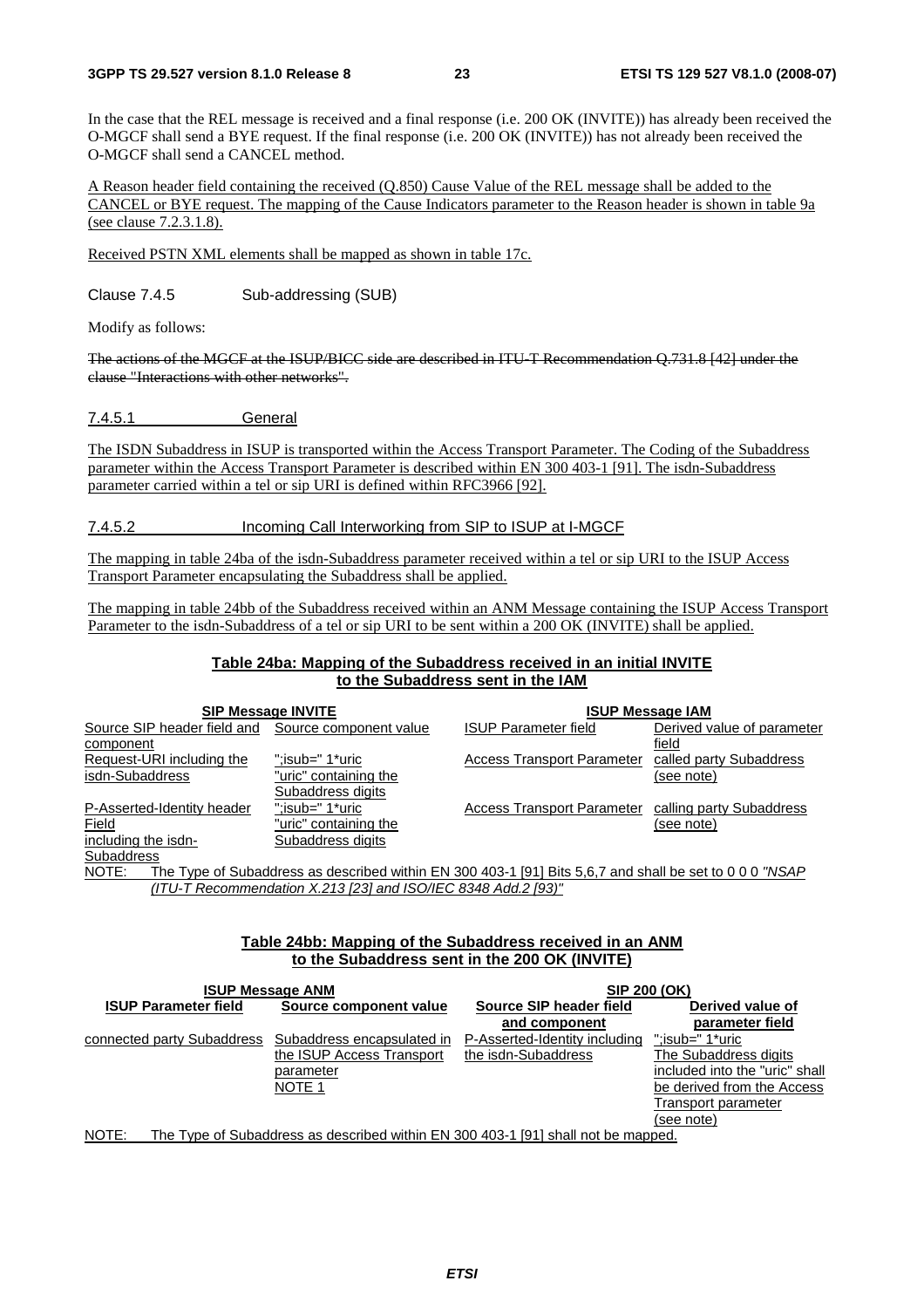In the case that the REL message is received and a final response (i.e. 200 OK (INVITE)) has already been received the O-MGCF shall send a BYE request. If the final response (i.e. 200 OK (INVITE)) has not already been received the O-MGCF shall send a CANCEL method.

A Reason header field containing the received (Q.850) Cause Value of the REL message shall be added to the CANCEL or BYE request. The mapping of the Cause Indicators parameter to the Reason header is shown in table 9a (see clause 7.2.3.1.8).

Received PSTN XML elements shall be mapped as shown in table 17c.

Clause 7.4.5 Sub-addressing (SUB)

Modify as follows:

The actions of the MGCF at the ISUP/BICC side are described in ITU-T Recommendation Q.731.8 [42] under the clause "Interactions with other networks".

7.4.5.1 General

The ISDN Subaddress in ISUP is transported within the Access Transport Parameter. The Coding of the Subaddress parameter within the Access Transport Parameter is described within EN 300 403-1 [91]. The isdn-Subaddress parameter carried within a tel or sip URI is defined within RFC3966 [92].

#### 7.4.5.2 Incoming Call Interworking from SIP to ISUP at I-MGCF

The mapping in table 24ba of the isdn-Subaddress parameter received within a tel or sip URI to the ISUP Access Transport Parameter encapsulating the Subaddress shall be applied.

The mapping in table 24bb of the Subaddress received within an ANM Message containing the ISUP Access Transport Parameter to the isdn-Subaddress of a tel or sip URI to be sent within a 200 OK (INVITE) shall be applied.

#### **Table 24ba: Mapping of the Subaddress received in an initial INVITE to the Subaddress sent in the IAM**

|                             | <b>SIP Message INVITE</b> | <b>ISUP Message IAM</b>                                                                                 |                            |  |
|-----------------------------|---------------------------|---------------------------------------------------------------------------------------------------------|----------------------------|--|
| Source SIP header field and | Source component value    | <b>ISUP Parameter field</b>                                                                             | Derived value of parameter |  |
| component                   |                           |                                                                                                         | field                      |  |
| Request-URI including the   | ":isub=" 1*uric           | <b>Access Transport Parameter</b>                                                                       | called party Subaddress    |  |
| isdn-Subaddress             | "uric" containing the     |                                                                                                         | (see note)                 |  |
|                             | Subaddress digits         |                                                                                                         |                            |  |
| P-Asserted-Identity header  | ":isub=" 1*uric           | <b>Access Transport Parameter</b>                                                                       | calling party Subaddress   |  |
| Field                       | "uric" containing the     |                                                                                                         | (see note)                 |  |
| including the isdn-         | Subaddress digits         |                                                                                                         |                            |  |
| <b>Subaddress</b>           |                           |                                                                                                         |                            |  |
| NOTE:                       |                           | The Type of Subaddress as described within EN 300 403-1 [91] Bits 5,6,7 and shall be set to 0 0 0 "NSAP |                            |  |

*(ITU-T Recommendation X.213 [23] and ISO/IEC 8348 Add.2 [93)"*

#### **Table 24bb: Mapping of the Subaddress received in an ANM to the Subaddress sent in the 200 OK (INVITE)**

|                             | <b>ISUP Message ANM</b>    | SIP 200 (OK)                                                                     |                                |  |
|-----------------------------|----------------------------|----------------------------------------------------------------------------------|--------------------------------|--|
| <b>ISUP Parameter field</b> | Source component value     | Source SIP header field                                                          | Derived value of               |  |
|                             |                            | and component                                                                    | parameter field                |  |
| connected party Subaddress  | Subaddress encapsulated in | P-Asserted-Identity including                                                    | ":isub=" 1*uric                |  |
|                             | the ISUP Access Transport  | the isdn-Subaddress                                                              | The Subaddress digits          |  |
|                             | parameter                  |                                                                                  | included into the "uric" shall |  |
|                             | NOTE 1                     |                                                                                  | be derived from the Access     |  |
|                             |                            |                                                                                  | Transport parameter            |  |
|                             |                            |                                                                                  | (see note)                     |  |
| $N$ $\cap$ TE $\cdot$       |                            | The Type of Subaddress as described within EN 300 403-1 [91] shall not be manned |                                |  |

NOTE: The Type of Subaddress as described within EN 300 403-1 [91] shall not be mapped.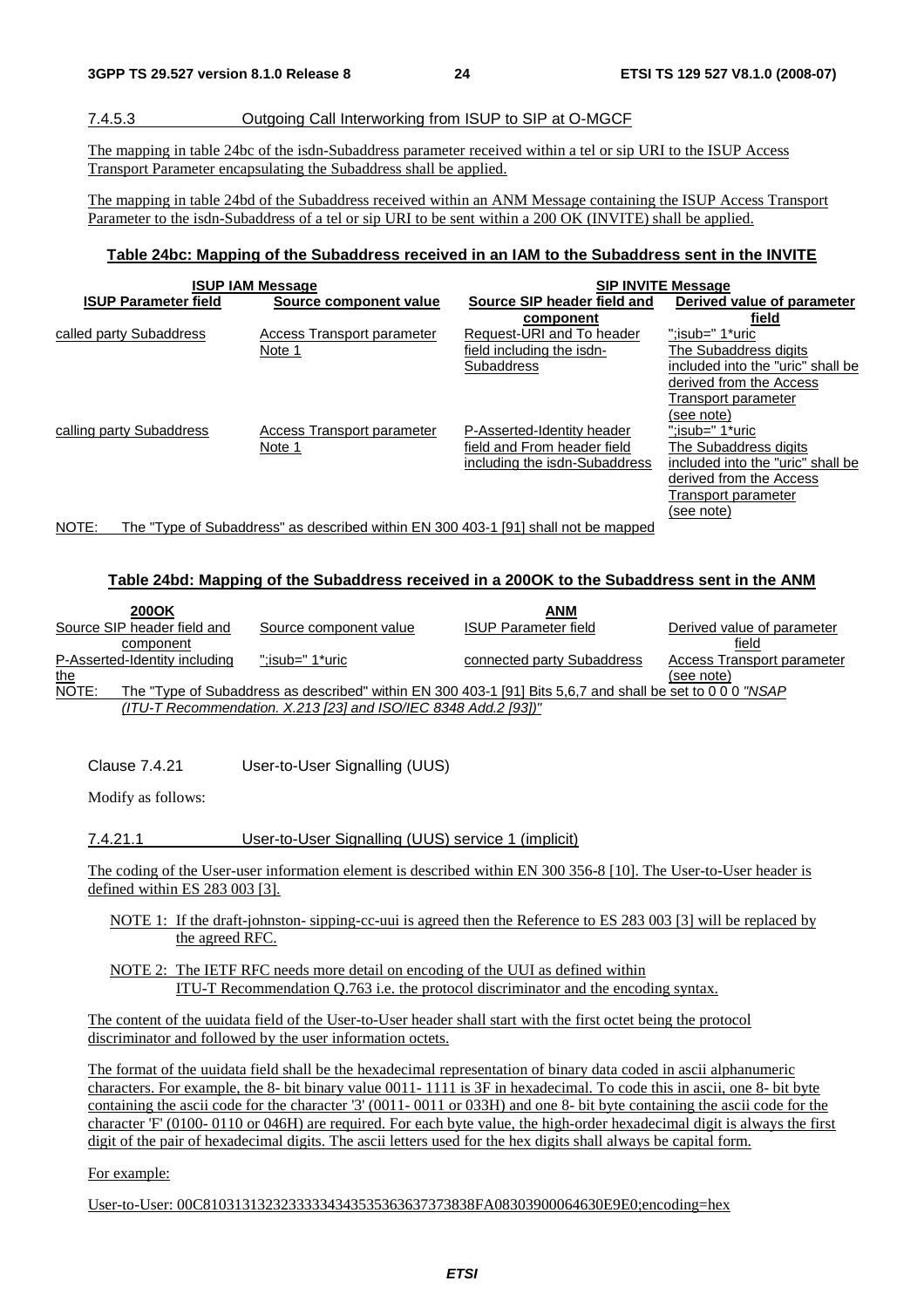#### 7.4.5.3 Outgoing Call Interworking from ISUP to SIP at O-MGCF

The mapping in table 24bc of the isdn-Subaddress parameter received within a tel or sip URI to the ISUP Access Transport Parameter encapsulating the Subaddress shall be applied.

The mapping in table 24bd of the Subaddress received within an ANM Message containing the ISUP Access Transport Parameter to the isdn-Subaddress of a tel or sip URI to be sent within a 200 OK (INVITE) shall be applied.

#### **Table 24bc: Mapping of the Subaddress received in an IAM to the Subaddress sent in the INVITE**

|                                                                                             | <b>ISUP IAM Message</b>    | <b>SIP INVITE Message</b>     |                                   |  |  |  |
|---------------------------------------------------------------------------------------------|----------------------------|-------------------------------|-----------------------------------|--|--|--|
| <b>ISUP Parameter field</b>                                                                 | Source component value     | Source SIP header field and   | Derived value of parameter        |  |  |  |
|                                                                                             |                            | component                     | field                             |  |  |  |
| called party Subaddress                                                                     | Access Transport parameter | Request-URI and To header     | ":isub=" 1*uric                   |  |  |  |
|                                                                                             | Note 1                     | field including the isdn-     | The Subaddress digits             |  |  |  |
|                                                                                             |                            | <b>Subaddress</b>             | included into the "uric" shall be |  |  |  |
|                                                                                             |                            |                               | derived from the Access           |  |  |  |
|                                                                                             |                            |                               | Transport parameter               |  |  |  |
|                                                                                             |                            |                               | (see note)                        |  |  |  |
| calling party Subaddress                                                                    | Access Transport parameter | P-Asserted-Identity header    | ":isub=" 1*uric                   |  |  |  |
|                                                                                             | Note 1                     | field and From header field   | The Subaddress digits             |  |  |  |
|                                                                                             |                            | including the isdn-Subaddress | included into the "uric" shall be |  |  |  |
|                                                                                             |                            |                               | derived from the Access           |  |  |  |
|                                                                                             |                            |                               | Transport parameter               |  |  |  |
|                                                                                             |                            |                               | (see note)                        |  |  |  |
| The "Type of Subaddress" as described within EN 300 403-1 [91] shall not be mapped<br>NOTE: |                            |                               |                                   |  |  |  |

### **Table 24bd: Mapping of the Subaddress received in a 200OK to the Subaddress sent in the ANM**

| 200OK                         |                                                                   | <b>ANM</b>                                                                                                |                            |
|-------------------------------|-------------------------------------------------------------------|-----------------------------------------------------------------------------------------------------------|----------------------------|
| Source SIP header field and   | Source component value                                            | <b>ISUP Parameter field</b>                                                                               | Derived value of parameter |
| component                     |                                                                   |                                                                                                           | field                      |
| P-Asserted-Identity including | :isub=" 1*uric:"                                                  | connected party Subaddress                                                                                | Access Transport parameter |
| <u>the</u>                    |                                                                   |                                                                                                           | (see note)                 |
| NOTE:                         |                                                                   | The "Type of Subaddress as described" within EN 300 403-1 [91] Bits 5.6.7 and shall be set to 0 0 0 "NSAP |                            |
|                               | $(ITU-T$ Recommendation. X.213 [23] and ISO/IEC 8348 Add.2 [93])" |                                                                                                           |                            |
|                               |                                                                   |                                                                                                           |                            |

Clause 7.4.21 User-to-User Signalling (UUS)

Modify as follows:

#### 7.4.21.1 User-to-User Signalling (UUS) service 1 (implicit)

The coding of the User-user information element is described within EN 300 356-8 [10]. The User-to-User header is defined within ES 283 003 [3].

- NOTE 1: If the draft-johnston- sipping-cc-uui is agreed then the Reference to ES 283 003 [3] will be replaced by the agreed RFC.
- NOTE 2: The IETF RFC needs more detail on encoding of the UUI as defined within ITU-T Recommendation Q.763 i.e. the protocol discriminator and the encoding syntax.

The content of the uuidata field of the User-to-User header shall start with the first octet being the protocol discriminator and followed by the user information octets.

The format of the uuidata field shall be the hexadecimal representation of binary data coded in ascii alphanumeric characters. For example, the 8- bit binary value 0011- 1111 is 3F in hexadecimal. To code this in ascii, one 8- bit byte containing the ascii code for the character '3' (0011- 0011 or 033H) and one 8- bit byte containing the ascii code for the character 'F' (0100- 0110 or 046H) are required. For each byte value, the high-order hexadecimal digit is always the first digit of the pair of hexadecimal digits. The ascii letters used for the hex digits shall always be capital form.

For example:

User-to-User: 00C81031313232333334343535363637373838FA08303900064630E9E0;encoding=hex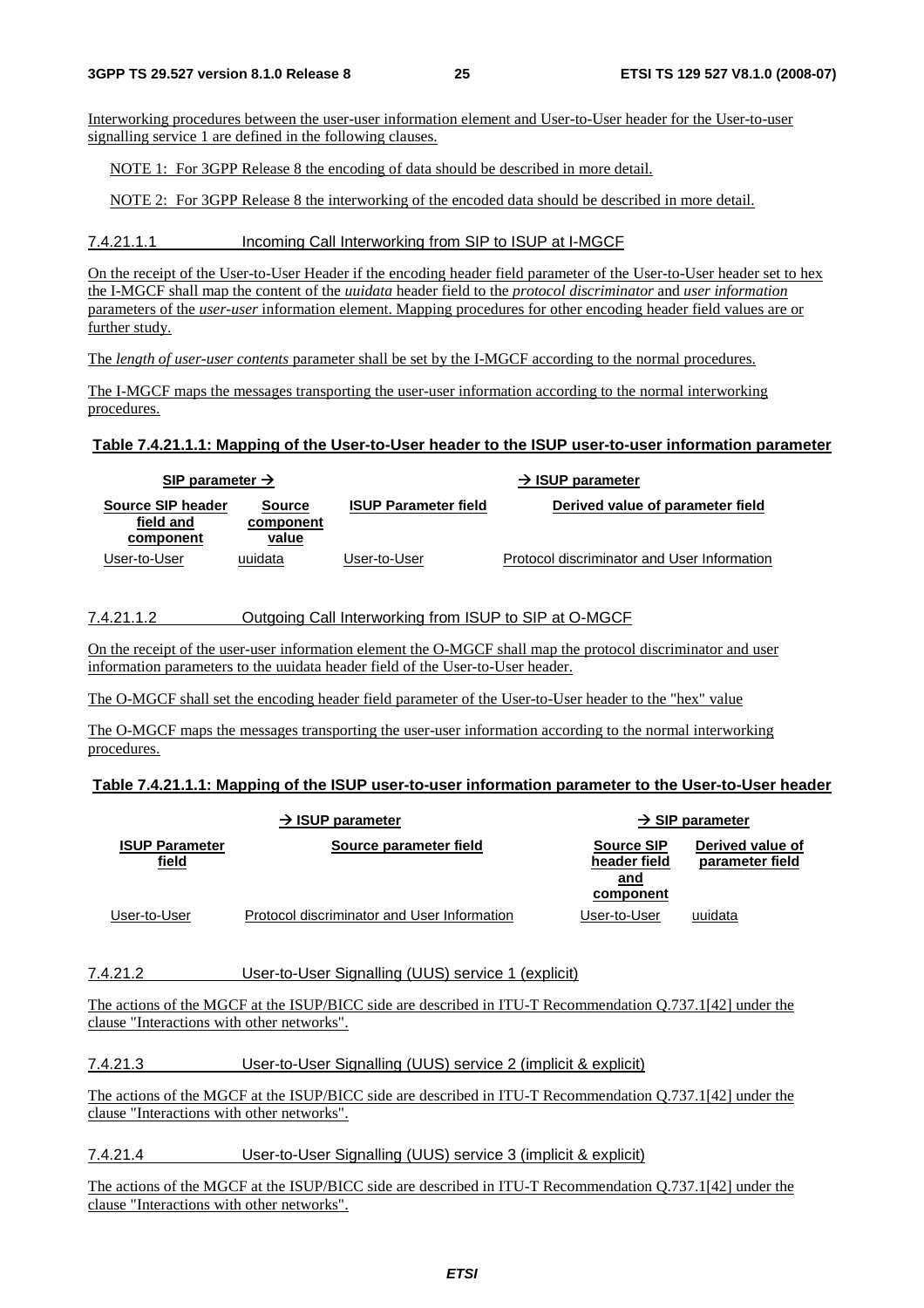Interworking procedures between the user-user information element and User-to-User header for the User-to-user signalling service 1 are defined in the following clauses.

NOTE 1: For 3GPP Release 8 the encoding of data should be described in more detail.

NOTE 2: For 3GPP Release 8 the interworking of the encoded data should be described in more detail.

#### 7.4.21.1.1 Incoming Call Interworking from SIP to ISUP at I-MGCF

On the receipt of the User-to-User Header if the encoding header field parameter of the User-to-User header set to hex the I-MGCF shall map the content of the *uuidata* header field to the *protocol discriminator* and *user information* parameters of the *user-user* information element. Mapping procedures for other encoding header field values are or further study.

The *length of user-user contents* parameter shall be set by the I-MGCF according to the normal procedures.

The I-MGCF maps the messages transporting the user-user information according to the normal interworking procedures.

#### **Table 7.4.21.1.1: Mapping of the User-to-User header to the ISUP user-to-user information parameter**

| SIP parameter $\rightarrow$                 |                                     |                             | $\rightarrow$ ISUP parameter                |
|---------------------------------------------|-------------------------------------|-----------------------------|---------------------------------------------|
| Source SIP header<br>field and<br>component | <b>Source</b><br>component<br>value | <b>ISUP Parameter field</b> | Derived value of parameter field            |
| User-to-User                                | uuidata                             | User-to-User                | Protocol discriminator and User Information |

#### 7.4.21.1.2 Outgoing Call Interworking from ISUP to SIP at O-MGCF

On the receipt of the user-user information element the O-MGCF shall map the protocol discriminator and user information parameters to the uuidata header field of the User-to-User header.

The O-MGCF shall set the encoding header field parameter of the User-to-User header to the "hex" value

The O-MGCF maps the messages transporting the user-user information according to the normal interworking procedures.

#### **Table 7.4.21.1.1: Mapping of the ISUP user-to-user information parameter to the User-to-User header**

|                                | $\rightarrow$ ISUP parameter                |                                                       | $\rightarrow$ SIP parameter         |
|--------------------------------|---------------------------------------------|-------------------------------------------------------|-------------------------------------|
| <b>ISUP Parameter</b><br>field | Source parameter field                      | <b>Source SIP</b><br>header field<br>and<br>component | Derived value of<br>parameter field |
| User-to-User                   | Protocol discriminator and User Information | User-to-User                                          | uuidata                             |

#### 7.4.21.2 User-to-User Signalling (UUS) service 1 (explicit)

The actions of the MGCF at the ISUP/BICC side are described in ITU-T Recommendation Q.737.1[42] under the clause "Interactions with other networks".

#### 7.4.21.3 User-to-User Signalling (UUS) service 2 (implicit & explicit)

The actions of the MGCF at the ISUP/BICC side are described in ITU-T Recommendation Q.737.1[42] under the clause "Interactions with other networks".

#### 7.4.21.4 User-to-User Signalling (UUS) service 3 (implicit & explicit)

The actions of the MGCF at the ISUP/BICC side are described in ITU-T Recommendation Q.737.1[42] under the clause "Interactions with other networks".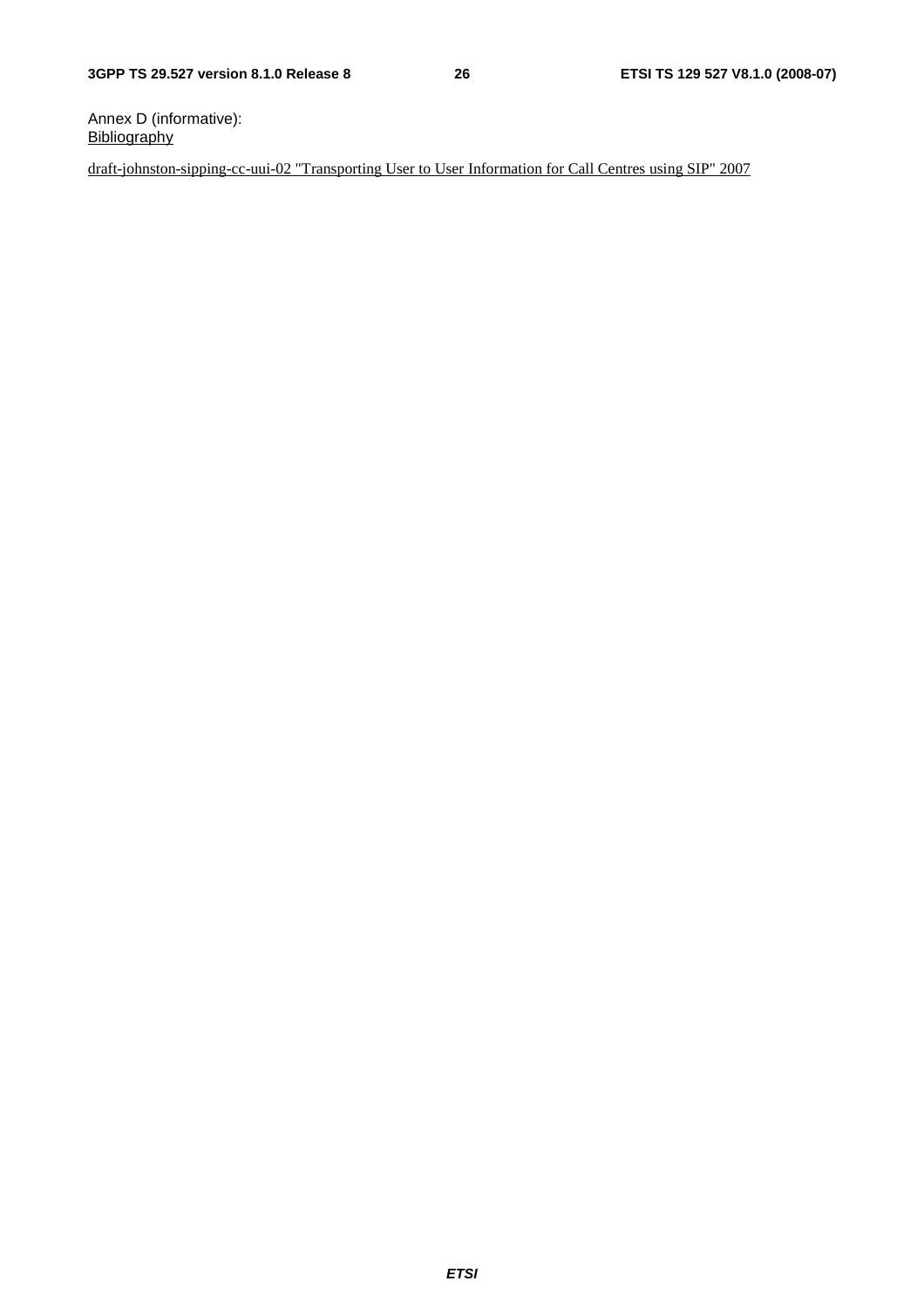Annex D (informative): **Bibliography** 

draft-johnston-sipping-cc-uui-02 "Transporting User to User Information for Call Centres using SIP" 2007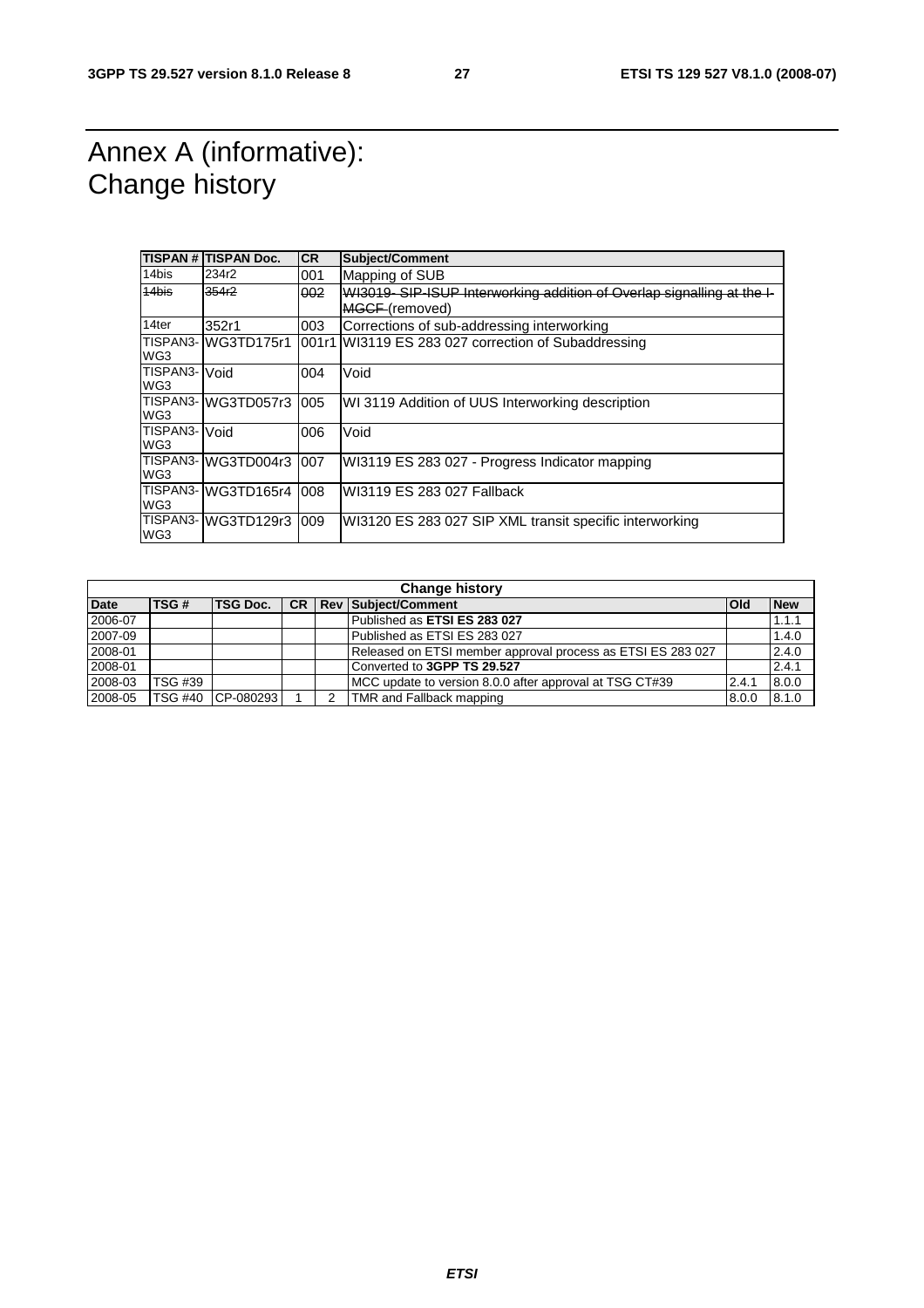### Annex A (informative): Change history

|                      | TISPAN # TISPAN Doc. | <b>CR</b> | Subject/Comment                                                       |
|----------------------|----------------------|-----------|-----------------------------------------------------------------------|
| 14bis                | 234r2                | 001       | Mapping of SUB                                                        |
| 14bis                | 354r2                | 002       | WI3019-SIP-ISUP Interworking addition of Overlap signalling at the I- |
|                      |                      |           | MGCF (removed)                                                        |
| 14ter                | 352r1                | 003       | Corrections of sub-addressing interworking                            |
| WG3                  | TISPAN3- WG3TD175r1  |           | 001r1 WI3119 ES 283 027 correction of Subaddressing                   |
| TISPAN3-<br>WG3      | Void                 | 004       | Void                                                                  |
| WG3                  | TISPAN3-WG3TD057r3   | 005       | WI 3119 Addition of UUS Interworking description                      |
| TISPAN3- Void<br>WG3 |                      | 006       | Void                                                                  |
| WG3                  | TISPAN3- WG3TD004r3  | 007       | WI3119 ES 283 027 - Progress Indicator mapping                        |
| WG3                  | TISPAN3-WG3TD165r4   | 008       | WI3119 ES 283 027 Fallback                                            |
| WG3                  | TISPAN3-WG3TD129r3   | 009       | WI3120 ES 283 027 SIP XML transit specific interworking               |

|             | <b>Change history</b> |                 |  |  |                                                             |            |            |
|-------------|-----------------------|-----------------|--|--|-------------------------------------------------------------|------------|------------|
| <b>Date</b> | TSG#                  | <b>TSG Doc.</b> |  |  | <b>CR   Rev   Subject/Comment</b>                           | <b>Old</b> | <b>New</b> |
| 2006-07     |                       |                 |  |  | Published as ETSI ES 283 027                                |            | 1.1.1      |
| 2007-09     |                       |                 |  |  | Published as ETSI ES 283 027                                |            | 1.4.0      |
| 2008-01     |                       |                 |  |  | Released on ETSI member approval process as ETSI ES 283 027 |            | 2.4.0      |
| 2008-01     |                       |                 |  |  | Converted to 3GPP TS 29.527                                 |            | 2.4.1      |
| 2008-03     | <b>TSG #39</b>        |                 |  |  | MCC update to version 8.0.0 after approval at TSG CT#39     | 2.4.1      | 8.0.0      |
| 2008-05     | <b>TSG #40</b>        | CP-080293       |  |  | TMR and Fallback mapping                                    | 8.0.0      | 8.1.0      |